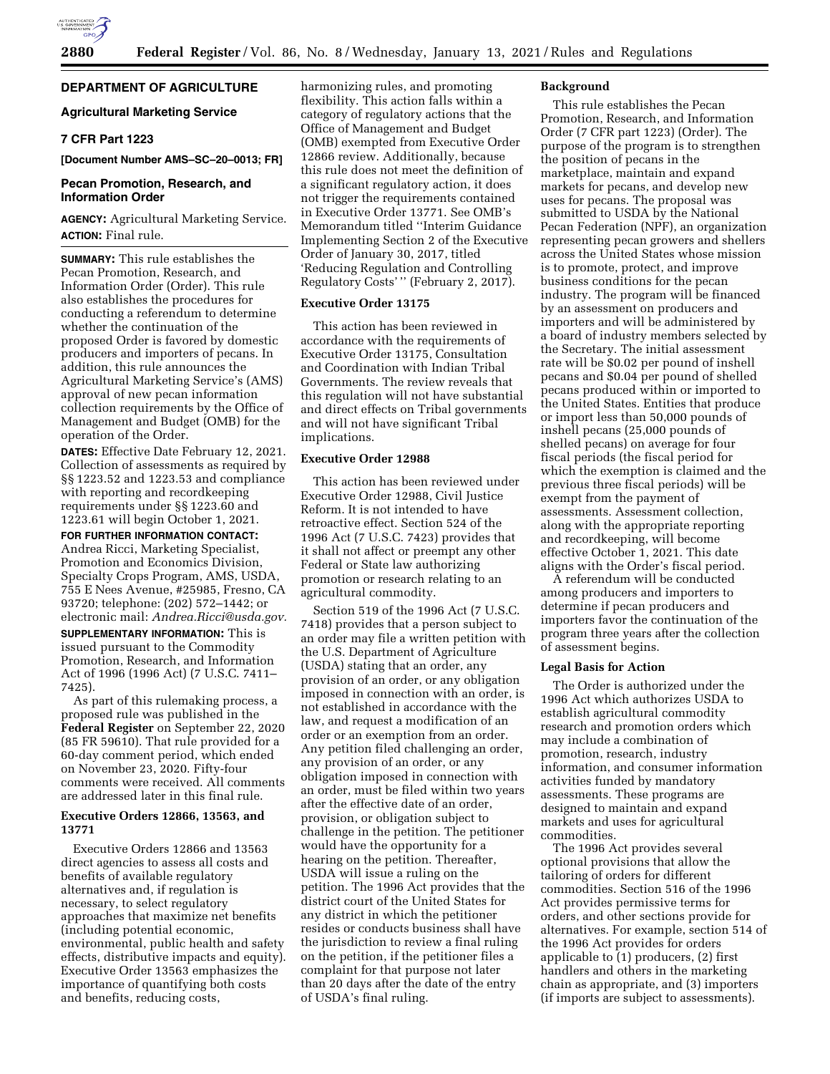

# **DEPARTMENT OF AGRICULTURE**

# **Agricultural Marketing Service**

# **7 CFR Part 1223**

#### **[Document Number AMS–SC–20–0013; FR]**

# **Pecan Promotion, Research, and Information Order**

# **AGENCY:** Agricultural Marketing Service. **ACTION:** Final rule.

**SUMMARY:** This rule establishes the Pecan Promotion, Research, and Information Order (Order). This rule also establishes the procedures for conducting a referendum to determine whether the continuation of the proposed Order is favored by domestic producers and importers of pecans. In addition, this rule announces the Agricultural Marketing Service's (AMS) approval of new pecan information collection requirements by the Office of Management and Budget (OMB) for the operation of the Order.

**DATES:** Effective Date February 12, 2021. Collection of assessments as required by §§ 1223.52 and 1223.53 and compliance with reporting and recordkeeping requirements under §§ 1223.60 and 1223.61 will begin October 1, 2021.

**FOR FURTHER INFORMATION CONTACT:**  Andrea Ricci, Marketing Specialist, Promotion and Economics Division, Specialty Crops Program, AMS, USDA, 755 E Nees Avenue, #25985, Fresno, CA 93720; telephone: (202) 572–1442; or electronic mail: *[Andrea.Ricci@usda.gov.](mailto:Andrea.Ricci@usda.gov)* 

**SUPPLEMENTARY INFORMATION:** This is issued pursuant to the Commodity Promotion, Research, and Information Act of 1996 (1996 Act) (7 U.S.C. 7411– 7425).

As part of this rulemaking process, a proposed rule was published in the **Federal Register** on September 22, 2020 (85 FR 59610). That rule provided for a 60-day comment period, which ended on November 23, 2020. Fifty-four comments were received. All comments are addressed later in this final rule.

# **Executive Orders 12866, 13563, and 13771**

Executive Orders 12866 and 13563 direct agencies to assess all costs and benefits of available regulatory alternatives and, if regulation is necessary, to select regulatory approaches that maximize net benefits (including potential economic, environmental, public health and safety effects, distributive impacts and equity). Executive Order 13563 emphasizes the importance of quantifying both costs and benefits, reducing costs,

harmonizing rules, and promoting flexibility. This action falls within a category of regulatory actions that the Office of Management and Budget (OMB) exempted from Executive Order 12866 review. Additionally, because this rule does not meet the definition of a significant regulatory action, it does not trigger the requirements contained in Executive Order 13771. See OMB's Memorandum titled ''Interim Guidance Implementing Section 2 of the Executive Order of January 30, 2017, titled 'Reducing Regulation and Controlling Regulatory Costs'" (February 2, 2017).

# **Executive Order 13175**

This action has been reviewed in accordance with the requirements of Executive Order 13175, Consultation and Coordination with Indian Tribal Governments. The review reveals that this regulation will not have substantial and direct effects on Tribal governments and will not have significant Tribal implications.

# **Executive Order 12988**

This action has been reviewed under Executive Order 12988, Civil Justice Reform. It is not intended to have retroactive effect. Section 524 of the 1996 Act (7 U.S.C. 7423) provides that it shall not affect or preempt any other Federal or State law authorizing promotion or research relating to an agricultural commodity.

Section 519 of the 1996 Act (7 U.S.C. 7418) provides that a person subject to an order may file a written petition with the U.S. Department of Agriculture (USDA) stating that an order, any provision of an order, or any obligation imposed in connection with an order, is not established in accordance with the law, and request a modification of an order or an exemption from an order. Any petition filed challenging an order, any provision of an order, or any obligation imposed in connection with an order, must be filed within two years after the effective date of an order, provision, or obligation subject to challenge in the petition. The petitioner would have the opportunity for a hearing on the petition. Thereafter, USDA will issue a ruling on the petition. The 1996 Act provides that the district court of the United States for any district in which the petitioner resides or conducts business shall have the jurisdiction to review a final ruling on the petition, if the petitioner files a complaint for that purpose not later than 20 days after the date of the entry of USDA's final ruling.

#### **Background**

This rule establishes the Pecan Promotion, Research, and Information Order (7 CFR part 1223) (Order). The purpose of the program is to strengthen the position of pecans in the marketplace, maintain and expand markets for pecans, and develop new uses for pecans. The proposal was submitted to USDA by the National Pecan Federation (NPF), an organization representing pecan growers and shellers across the United States whose mission is to promote, protect, and improve business conditions for the pecan industry. The program will be financed by an assessment on producers and importers and will be administered by a board of industry members selected by the Secretary. The initial assessment rate will be \$0.02 per pound of inshell pecans and \$0.04 per pound of shelled pecans produced within or imported to the United States. Entities that produce or import less than 50,000 pounds of inshell pecans (25,000 pounds of shelled pecans) on average for four fiscal periods (the fiscal period for which the exemption is claimed and the previous three fiscal periods) will be exempt from the payment of assessments. Assessment collection, along with the appropriate reporting and recordkeeping, will become effective October 1, 2021. This date aligns with the Order's fiscal period.

A referendum will be conducted among producers and importers to determine if pecan producers and importers favor the continuation of the program three years after the collection of assessment begins.

#### **Legal Basis for Action**

The Order is authorized under the 1996 Act which authorizes USDA to establish agricultural commodity research and promotion orders which may include a combination of promotion, research, industry information, and consumer information activities funded by mandatory assessments. These programs are designed to maintain and expand markets and uses for agricultural commodities.

The 1996 Act provides several optional provisions that allow the tailoring of orders for different commodities. Section 516 of the 1996 Act provides permissive terms for orders, and other sections provide for alternatives. For example, section 514 of the 1996 Act provides for orders applicable to (1) producers, (2) first handlers and others in the marketing chain as appropriate, and (3) importers (if imports are subject to assessments).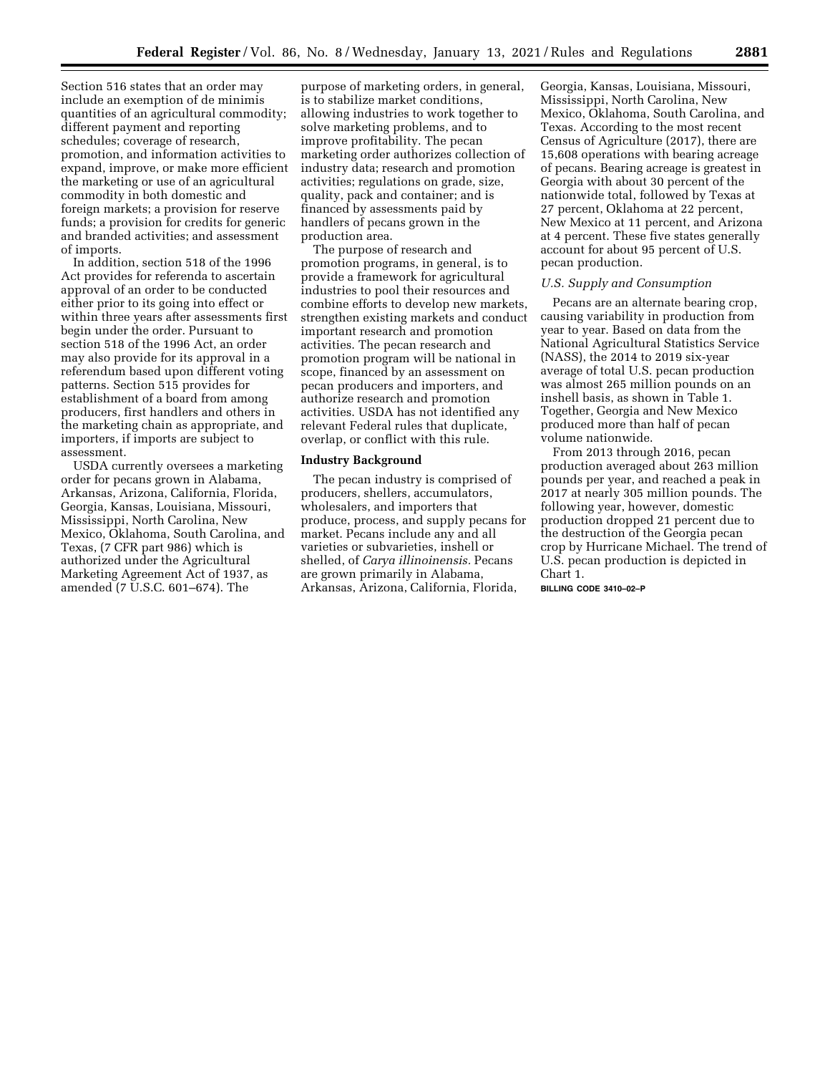Section 516 states that an order may include an exemption of de minimis quantities of an agricultural commodity; different payment and reporting schedules; coverage of research, promotion, and information activities to expand, improve, or make more efficient the marketing or use of an agricultural commodity in both domestic and foreign markets; a provision for reserve funds; a provision for credits for generic and branded activities; and assessment of imports.

In addition, section 518 of the 1996 Act provides for referenda to ascertain approval of an order to be conducted either prior to its going into effect or within three years after assessments first begin under the order. Pursuant to section 518 of the 1996 Act, an order may also provide for its approval in a referendum based upon different voting patterns. Section 515 provides for establishment of a board from among producers, first handlers and others in the marketing chain as appropriate, and importers, if imports are subject to assessment.

USDA currently oversees a marketing order for pecans grown in Alabama, Arkansas, Arizona, California, Florida, Georgia, Kansas, Louisiana, Missouri, Mississippi, North Carolina, New Mexico, Oklahoma, South Carolina, and Texas, (7 CFR part 986) which is authorized under the Agricultural Marketing Agreement Act of 1937, as amended (7 U.S.C. 601–674). The

purpose of marketing orders, in general, is to stabilize market conditions, allowing industries to work together to solve marketing problems, and to improve profitability. The pecan marketing order authorizes collection of industry data; research and promotion activities; regulations on grade, size, quality, pack and container; and is financed by assessments paid by handlers of pecans grown in the production area.

The purpose of research and promotion programs, in general, is to provide a framework for agricultural industries to pool their resources and combine efforts to develop new markets, strengthen existing markets and conduct important research and promotion activities. The pecan research and promotion program will be national in scope, financed by an assessment on pecan producers and importers, and authorize research and promotion activities. USDA has not identified any relevant Federal rules that duplicate, overlap, or conflict with this rule.

### **Industry Background**

The pecan industry is comprised of producers, shellers, accumulators, wholesalers, and importers that produce, process, and supply pecans for market. Pecans include any and all varieties or subvarieties, inshell or shelled, of *Carya illinoinensis.* Pecans are grown primarily in Alabama, Arkansas, Arizona, California, Florida,

Georgia, Kansas, Louisiana, Missouri, Mississippi, North Carolina, New Mexico, Oklahoma, South Carolina, and Texas. According to the most recent Census of Agriculture (2017), there are 15,608 operations with bearing acreage of pecans. Bearing acreage is greatest in Georgia with about 30 percent of the nationwide total, followed by Texas at 27 percent, Oklahoma at 22 percent, New Mexico at 11 percent, and Arizona at 4 percent. These five states generally account for about 95 percent of U.S. pecan production.

# *U.S. Supply and Consumption*

Pecans are an alternate bearing crop, causing variability in production from year to year. Based on data from the National Agricultural Statistics Service (NASS), the 2014 to 2019 six-year average of total U.S. pecan production was almost 265 million pounds on an inshell basis, as shown in Table 1. Together, Georgia and New Mexico produced more than half of pecan volume nationwide.

From 2013 through 2016, pecan production averaged about 263 million pounds per year, and reached a peak in 2017 at nearly 305 million pounds. The following year, however, domestic production dropped 21 percent due to the destruction of the Georgia pecan crop by Hurricane Michael. The trend of U.S. pecan production is depicted in Chart 1.

**BILLING CODE 3410–02–P**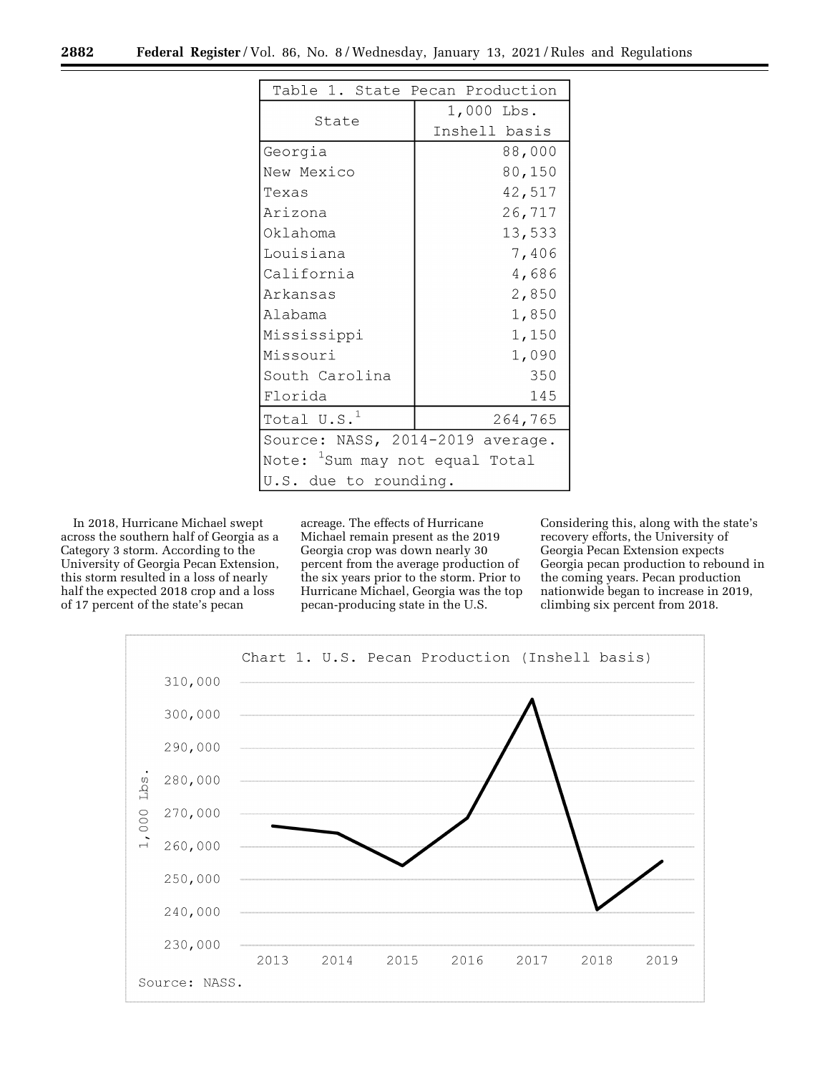|                                            | Table 1. State Pecan Production |  |  |  |  |
|--------------------------------------------|---------------------------------|--|--|--|--|
| State                                      | 1,000 Lbs.                      |  |  |  |  |
|                                            | Inshell basis                   |  |  |  |  |
| Georgia                                    | 88,000                          |  |  |  |  |
| New Mexico                                 | 80,150                          |  |  |  |  |
| Texas                                      | 42,517                          |  |  |  |  |
| Arizona                                    | 26,717                          |  |  |  |  |
| Oklahoma                                   | 13,533                          |  |  |  |  |
| Louisiana                                  | 7,406                           |  |  |  |  |
| California                                 | 4,686                           |  |  |  |  |
| Arkansas                                   | 2,850                           |  |  |  |  |
| Alabama                                    | 1,850                           |  |  |  |  |
| Mississippi                                | 1,150                           |  |  |  |  |
| Missouri                                   | 1,090                           |  |  |  |  |
| South Carolina                             | 350                             |  |  |  |  |
| Florida                                    | 145                             |  |  |  |  |
| Total $\mathtt{U.S.}^1$<br>264,765         |                                 |  |  |  |  |
| Source: NASS, 2014-2019 average.           |                                 |  |  |  |  |
| Note: <sup>1</sup> Sum may not equal Total |                                 |  |  |  |  |
| U.S. due to rounding.                      |                                 |  |  |  |  |

In 2018, Hurricane Michael swept across the southern half of Georgia as a Category 3 storm. According to the University of Georgia Pecan Extension, this storm resulted in a loss of nearly half the expected 2018 crop and a loss of 17 percent of the state's pecan

acreage. The effects of Hurricane Michael remain present as the 2019 Georgia crop was down nearly 30 percent from the average production of the six years prior to the storm. Prior to Hurricane Michael, Georgia was the top pecan-producing state in the U.S.

Considering this, along with the state's recovery efforts, the University of Georgia Pecan Extension expects Georgia pecan production to rebound in the coming years. Pecan production nationwide began to increase in 2019, climbing six percent from 2018.

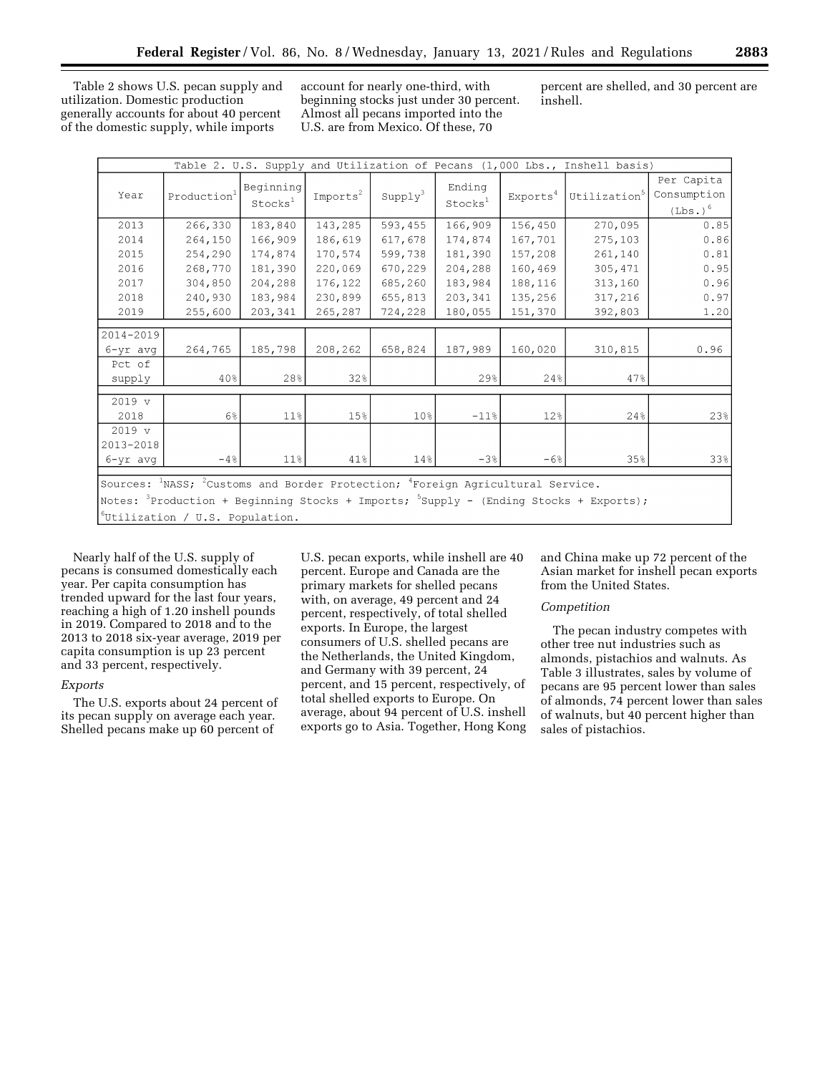Table 2 shows U.S. pecan supply and utilization. Domestic production generally accounts for about 40 percent of the domestic supply, while imports

account for nearly one-third, with beginning stocks just under 30 percent. Almost all pecans imported into the U.S. are from Mexico. Of these, 70

percent are shelled, and 30 percent are inshell.

| Table 2. U.S. Supply and Utilization of Pecans (1,000 Lbs., Inshell basis)                                         |                         |                                  |                      |                 |                               |                      |                          |                                                  |
|--------------------------------------------------------------------------------------------------------------------|-------------------------|----------------------------------|----------------------|-----------------|-------------------------------|----------------------|--------------------------|--------------------------------------------------|
| Year                                                                                                               | Production <sup>1</sup> | Beginning<br>Stocks <sup>1</sup> | Imports <sup>2</sup> | $Supp1y^3$      | Ending<br>Stocks <sup>1</sup> | Exports <sup>4</sup> | Utilization <sup>5</sup> | Per Capita<br>Consumption<br>(Lbs.) <sup>6</sup> |
| 2013                                                                                                               | 266,330                 | 183,840                          | 143,285              | 593,455         | 166,909                       | 156,450              | 270,095                  | 0.85                                             |
| 2014                                                                                                               | 264,150                 | 166,909                          | 186,619              | 617,678         | 174,874                       | 167,701              | 275,103                  | 0.86                                             |
| 2015                                                                                                               | 254,290                 | 174,874                          | 170,574              | 599,738         | 181,390                       | 157,208              | 261,140                  | 0.81                                             |
| 2016                                                                                                               | 268,770                 | 181,390                          | 220,069              | 670,229         | 204,288                       | 160,469              | 305,471                  | 0.95                                             |
| 2017                                                                                                               | 304,850                 | 204,288                          | 176,122              | 685,260         | 183,984                       | 188,116              | 313,160                  | 0.96                                             |
| 2018                                                                                                               | 240,930                 | 183,984                          | 230,899              | 655,813         | 203,341                       | 135,256              | 317,216                  | 0.97                                             |
| 2019                                                                                                               | 255,600                 | 203,341                          | 265,287              | 724,228         | 180,055                       | 151,370              | 392,803                  | 1.20                                             |
| 2014-2019                                                                                                          |                         |                                  |                      |                 |                               |                      |                          |                                                  |
| 6-yr avg                                                                                                           | 264,765                 | 185,798                          | 208,262              | 658,824         | 187,989                       | 160,020              | 310,815                  | 0.96                                             |
| Pct of<br>supply                                                                                                   | 40%                     | 28%                              | 32%                  |                 | 29%                           | 24%                  | 47%                      |                                                  |
| $2019 \text{ v}$                                                                                                   |                         |                                  |                      |                 |                               |                      |                          |                                                  |
| 2018                                                                                                               | $6\%$                   | $11\%$                           | 15%                  | 10 <sup>8</sup> | $-11%$                        | 12%                  | 24%                      | 23%                                              |
| $2019 \text{ v}$<br>2013-2018<br>6-yr avg                                                                          | $-4%$                   | 11%                              | 41%                  | 14%             | $-3%$                         | $-6%$                | 35%                      | 33%                                              |
|                                                                                                                    |                         |                                  |                      |                 |                               |                      |                          |                                                  |
| Sources: <sup>1</sup> NASS; <sup>2</sup> Customs and Border Protection; <sup>4</sup> Foreign Agricultural Service. |                         |                                  |                      |                 |                               |                      |                          |                                                  |
| Notes: <sup>3</sup> Production + Beginning Stocks + Imports; <sup>5</sup> Supply - (Ending Stocks + Exports);      |                         |                                  |                      |                 |                               |                      |                          |                                                  |
| $6$ Utilization / U.S. Population.                                                                                 |                         |                                  |                      |                 |                               |                      |                          |                                                  |

Nearly half of the U.S. supply of pecans is consumed domestically each year. Per capita consumption has trended upward for the last four years, reaching a high of 1.20 inshell pounds in 2019. Compared to 2018 and to the 2013 to 2018 six-year average, 2019 per capita consumption is up 23 percent and 33 percent, respectively.

# *Exports*

The U.S. exports about 24 percent of its pecan supply on average each year. Shelled pecans make up 60 percent of

U.S. pecan exports, while inshell are 40 percent. Europe and Canada are the primary markets for shelled pecans with, on average, 49 percent and 24 percent, respectively, of total shelled exports. In Europe, the largest consumers of U.S. shelled pecans are the Netherlands, the United Kingdom, and Germany with 39 percent, 24 percent, and 15 percent, respectively, of total shelled exports to Europe. On average, about 94 percent of U.S. inshell exports go to Asia. Together, Hong Kong and China make up 72 percent of the Asian market for inshell pecan exports from the United States.

#### *Competition*

The pecan industry competes with other tree nut industries such as almonds, pistachios and walnuts. As Table 3 illustrates, sales by volume of pecans are 95 percent lower than sales of almonds, 74 percent lower than sales of walnuts, but 40 percent higher than sales of pistachios.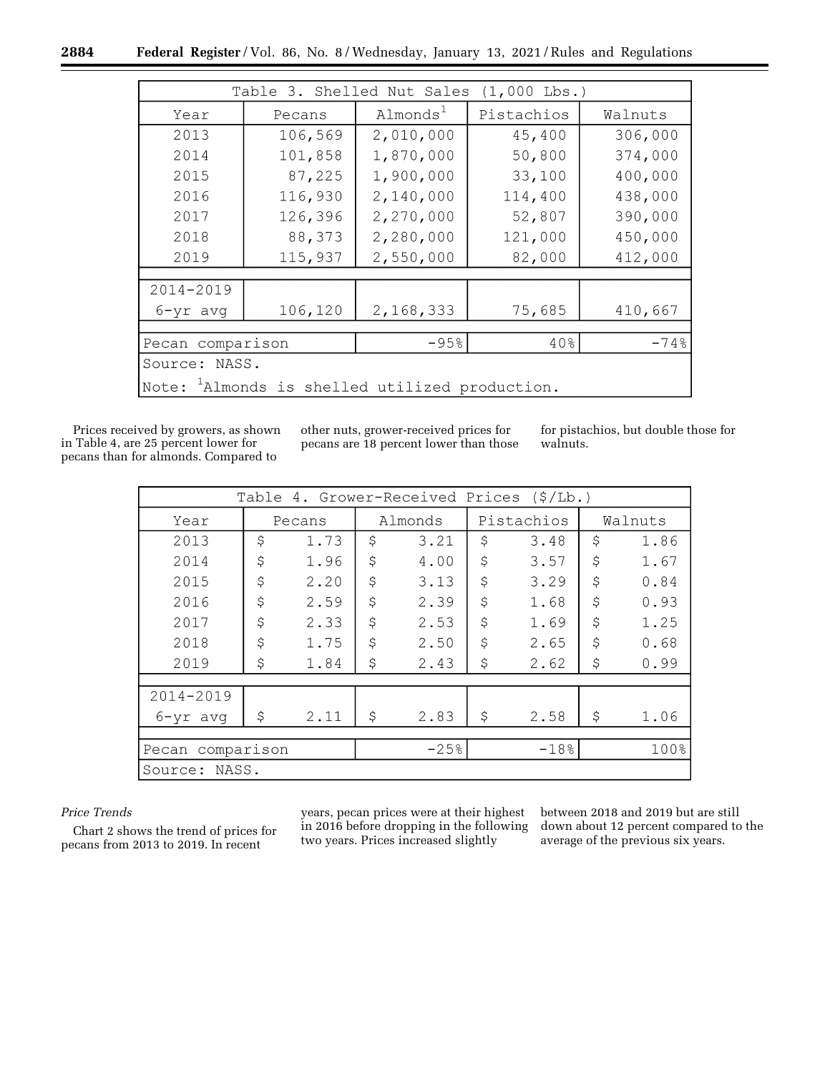|                                                               |         | Table 3. Shelled Nut Sales | $(1,000$ Lbs.) |         |  |
|---------------------------------------------------------------|---------|----------------------------|----------------|---------|--|
| Year                                                          | Pecans  | Almonds <sup>1</sup>       | Pistachios     | Walnuts |  |
| 2013                                                          | 106,569 | 2,010,000                  | 45,400         | 306,000 |  |
| 2014                                                          | 101,858 | 1,870,000                  | 50,800         | 374,000 |  |
| 2015                                                          | 87,225  | 1,900,000                  | 33,100         | 400,000 |  |
| 2016                                                          | 116,930 | 2,140,000                  | 114,400        | 438,000 |  |
| 2017                                                          | 126,396 | 2,270,000                  | 52,807         | 390,000 |  |
| 2018                                                          | 88,373  | 2,280,000                  | 121,000        | 450,000 |  |
| 2019                                                          | 115,937 | 2,550,000                  | 82,000         | 412,000 |  |
|                                                               |         |                            |                |         |  |
| 2014-2019                                                     |         |                            |                |         |  |
| $6 - yr$ avg                                                  | 106,120 | 2,168,333                  | 75,685         | 410,667 |  |
|                                                               |         |                            |                |         |  |
| $-95%$<br>40%<br>$-74%$<br>Pecan comparison                   |         |                            |                |         |  |
| Source: NASS.                                                 |         |                            |                |         |  |
| $\sqrt{N}$ Note: $^1$ Almonds is shelled utilized production. |         |                            |                |         |  |

Prices received by growers, as shown in Table 4, are 25 percent lower for pecans than for almonds. Compared to

other nuts, grower-received prices for pecans are 18 percent lower than those for pistachios, but double those for walnuts.

| 4. Grower-Received Prices<br>(S/Lb.)<br>Table |        |      |         |        |            |         |         |      |
|-----------------------------------------------|--------|------|---------|--------|------------|---------|---------|------|
| Year                                          | Pecans |      | Almonds |        | Pistachios |         | Walnuts |      |
| 2013                                          | \$     | 1.73 | \$      | 3.21   | \$         | 3.48    | \$      | 1.86 |
| 2014                                          | \$     | 1.96 | \$      | 4.00   | \$         | 3.57    | \$      | 1.67 |
| 2015                                          | \$     | 2.20 | \$      | 3.13   | \$         | 3.29    | \$      | 0.84 |
| 2016                                          | \$     | 2.59 | \$      | 2.39   | \$         | 1.68    | \$      | 0.93 |
| 2017                                          | \$     | 2.33 | \$      | 2.53   | \$         | 1.69    | \$      | 1.25 |
| 2018                                          | \$     | 1.75 | \$      | 2.50   | \$         | 2.65    | \$      | 0.68 |
| 2019                                          | \$     | 1.84 | \$      | 2.43   | \$         | 2.62    | \$      | 0.99 |
|                                               |        |      |         |        |            |         |         |      |
| 2014-2019                                     |        |      |         |        |            |         |         |      |
| $6 - yr$ avq                                  | \$     | 2.11 | \$      | 2.83   | \$         | 2.58    | \$      | 1.06 |
|                                               |        |      |         |        |            |         |         |      |
| comparison<br>Pecan                           |        |      |         | $-25%$ |            | $-18.8$ |         | 100% |
| NASS.<br>Source:                              |        |      |         |        |            |         |         |      |

# *Price Trends*

Chart 2 shows the trend of prices for pecans from 2013 to 2019. In recent

years, pecan prices were at their highest in 2016 before dropping in the following two years. Prices increased slightly

between 2018 and 2019 but are still down about 12 percent compared to the average of the previous six years.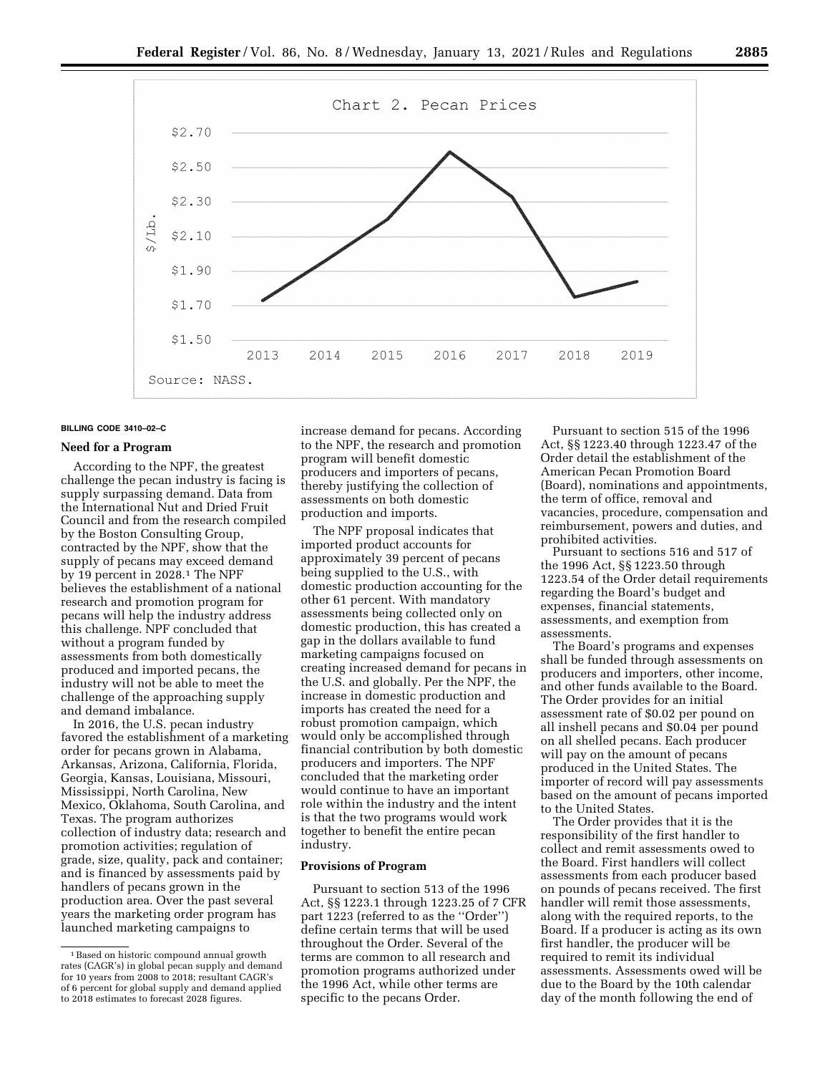

# **BILLING CODE 3410–02–C**

# **Need for a Program**

According to the NPF, the greatest challenge the pecan industry is facing is supply surpassing demand. Data from the International Nut and Dried Fruit Council and from the research compiled by the Boston Consulting Group, contracted by the NPF, show that the supply of pecans may exceed demand by 19 percent in 2028.1 The NPF believes the establishment of a national research and promotion program for pecans will help the industry address this challenge. NPF concluded that without a program funded by assessments from both domestically produced and imported pecans, the industry will not be able to meet the challenge of the approaching supply and demand imbalance.

In 2016, the U.S. pecan industry favored the establishment of a marketing order for pecans grown in Alabama, Arkansas, Arizona, California, Florida, Georgia, Kansas, Louisiana, Missouri, Mississippi, North Carolina, New Mexico, Oklahoma, South Carolina, and Texas. The program authorizes collection of industry data; research and promotion activities; regulation of grade, size, quality, pack and container; and is financed by assessments paid by handlers of pecans grown in the production area. Over the past several years the marketing order program has launched marketing campaigns to

increase demand for pecans. According to the NPF, the research and promotion program will benefit domestic producers and importers of pecans, thereby justifying the collection of assessments on both domestic production and imports.

The NPF proposal indicates that imported product accounts for approximately 39 percent of pecans being supplied to the U.S., with domestic production accounting for the other 61 percent. With mandatory assessments being collected only on domestic production, this has created a gap in the dollars available to fund marketing campaigns focused on creating increased demand for pecans in the U.S. and globally. Per the NPF, the increase in domestic production and imports has created the need for a robust promotion campaign, which would only be accomplished through financial contribution by both domestic producers and importers. The NPF concluded that the marketing order would continue to have an important role within the industry and the intent is that the two programs would work together to benefit the entire pecan industry.

# **Provisions of Program**

Pursuant to section 513 of the 1996 Act, §§ 1223.1 through 1223.25 of 7 CFR part 1223 (referred to as the ''Order'') define certain terms that will be used throughout the Order. Several of the terms are common to all research and promotion programs authorized under the 1996 Act, while other terms are specific to the pecans Order.

Pursuant to section 515 of the 1996 Act, §§ 1223.40 through 1223.47 of the Order detail the establishment of the American Pecan Promotion Board (Board), nominations and appointments, the term of office, removal and vacancies, procedure, compensation and reimbursement, powers and duties, and prohibited activities.

Pursuant to sections 516 and 517 of the 1996 Act, §§ 1223.50 through 1223.54 of the Order detail requirements regarding the Board's budget and expenses, financial statements, assessments, and exemption from assessments.

The Board's programs and expenses shall be funded through assessments on producers and importers, other income, and other funds available to the Board. The Order provides for an initial assessment rate of \$0.02 per pound on all inshell pecans and \$0.04 per pound on all shelled pecans. Each producer will pay on the amount of pecans produced in the United States. The importer of record will pay assessments based on the amount of pecans imported to the United States.

The Order provides that it is the responsibility of the first handler to collect and remit assessments owed to the Board. First handlers will collect assessments from each producer based on pounds of pecans received. The first handler will remit those assessments, along with the required reports, to the Board. If a producer is acting as its own first handler, the producer will be required to remit its individual assessments. Assessments owed will be due to the Board by the 10th calendar day of the month following the end of

<sup>1</sup>Based on historic compound annual growth rates (CAGR's) in global pecan supply and demand for 10 years from 2008 to 2018; resultant CAGR's of 6 percent for global supply and demand applied to 2018 estimates to forecast 2028 figures.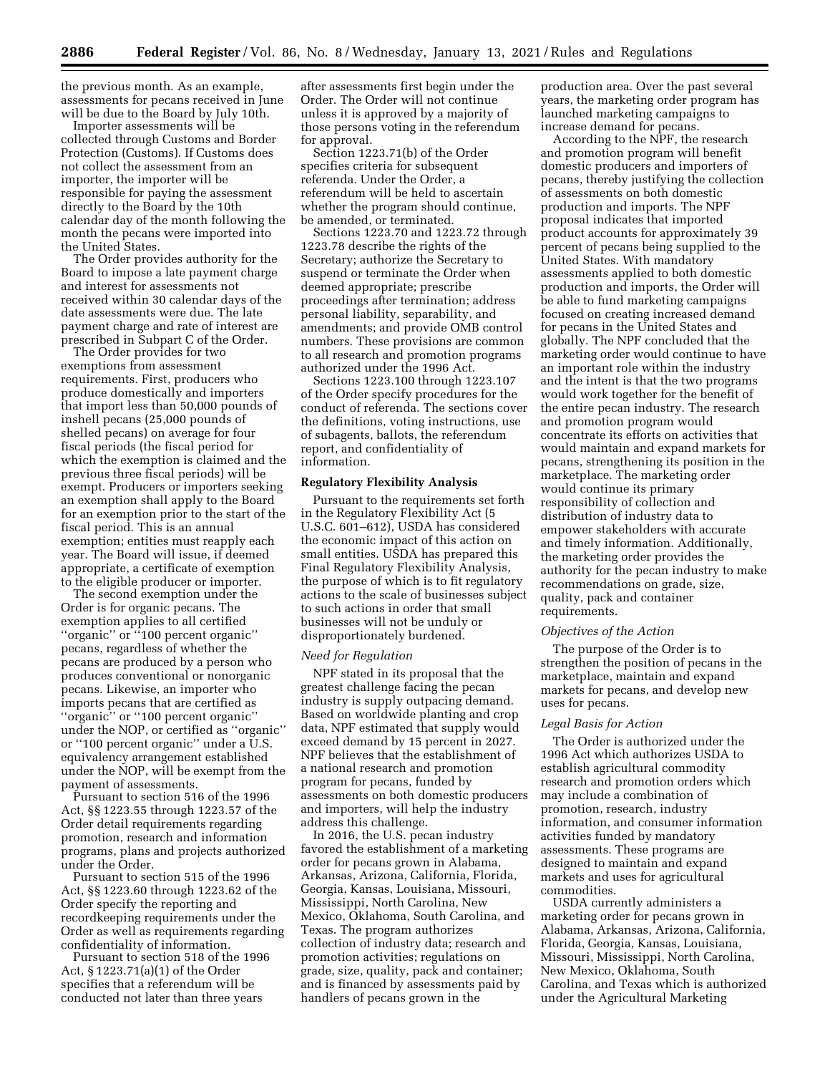the previous month. As an example, assessments for pecans received in June will be due to the Board by July 10th.

Importer assessments will be collected through Customs and Border Protection (Customs). If Customs does not collect the assessment from an importer, the importer will be responsible for paying the assessment directly to the Board by the 10th calendar day of the month following the month the pecans were imported into the United States.

The Order provides authority for the Board to impose a late payment charge and interest for assessments not received within 30 calendar days of the date assessments were due. The late payment charge and rate of interest are prescribed in Subpart C of the Order.

The Order provides for two exemptions from assessment requirements. First, producers who produce domestically and importers that import less than 50,000 pounds of inshell pecans (25,000 pounds of shelled pecans) on average for four fiscal periods (the fiscal period for which the exemption is claimed and the previous three fiscal periods) will be exempt. Producers or importers seeking an exemption shall apply to the Board for an exemption prior to the start of the fiscal period. This is an annual exemption; entities must reapply each year. The Board will issue, if deemed appropriate, a certificate of exemption to the eligible producer or importer.

The second exemption under the Order is for organic pecans. The exemption applies to all certified ''organic'' or ''100 percent organic'' pecans, regardless of whether the pecans are produced by a person who produces conventional or nonorganic pecans. Likewise, an importer who imports pecans that are certified as ''organic'' or ''100 percent organic'' under the NOP, or certified as ''organic'' or ''100 percent organic'' under a U.S. equivalency arrangement established under the NOP, will be exempt from the payment of assessments.

Pursuant to section 516 of the 1996 Act, §§ 1223.55 through 1223.57 of the Order detail requirements regarding promotion, research and information programs, plans and projects authorized under the Order.

Pursuant to section 515 of the 1996 Act, §§ 1223.60 through 1223.62 of the Order specify the reporting and recordkeeping requirements under the Order as well as requirements regarding confidentiality of information.

Pursuant to section 518 of the 1996 Act, § 1223.71(a)(1) of the Order specifies that a referendum will be conducted not later than three years

after assessments first begin under the Order. The Order will not continue unless it is approved by a majority of those persons voting in the referendum for approval.

Section 1223.71(b) of the Order specifies criteria for subsequent referenda. Under the Order, a referendum will be held to ascertain whether the program should continue, be amended, or terminated.

Sections 1223.70 and 1223.72 through 1223.78 describe the rights of the Secretary; authorize the Secretary to suspend or terminate the Order when deemed appropriate; prescribe proceedings after termination; address personal liability, separability, and amendments; and provide OMB control numbers. These provisions are common to all research and promotion programs authorized under the 1996 Act.

Sections 1223.100 through 1223.107 of the Order specify procedures for the conduct of referenda. The sections cover the definitions, voting instructions, use of subagents, ballots, the referendum report, and confidentiality of information.

# **Regulatory Flexibility Analysis**

Pursuant to the requirements set forth in the Regulatory Flexibility Act (5 U.S.C. 601–612), USDA has considered the economic impact of this action on small entities. USDA has prepared this Final Regulatory Flexibility Analysis, the purpose of which is to fit regulatory actions to the scale of businesses subject to such actions in order that small businesses will not be unduly or disproportionately burdened.

# *Need for Regulation*

NPF stated in its proposal that the greatest challenge facing the pecan industry is supply outpacing demand. Based on worldwide planting and crop data, NPF estimated that supply would exceed demand by 15 percent in 2027. NPF believes that the establishment of a national research and promotion program for pecans, funded by assessments on both domestic producers and importers, will help the industry address this challenge.

In 2016, the U.S. pecan industry favored the establishment of a marketing order for pecans grown in Alabama, Arkansas, Arizona, California, Florida, Georgia, Kansas, Louisiana, Missouri, Mississippi, North Carolina, New Mexico, Oklahoma, South Carolina, and Texas. The program authorizes collection of industry data; research and promotion activities; regulations on grade, size, quality, pack and container; and is financed by assessments paid by handlers of pecans grown in the

production area. Over the past several years, the marketing order program has launched marketing campaigns to increase demand for pecans.

According to the NPF, the research and promotion program will benefit domestic producers and importers of pecans, thereby justifying the collection of assessments on both domestic production and imports. The NPF proposal indicates that imported product accounts for approximately 39 percent of pecans being supplied to the United States. With mandatory assessments applied to both domestic production and imports, the Order will be able to fund marketing campaigns focused on creating increased demand for pecans in the United States and globally. The NPF concluded that the marketing order would continue to have an important role within the industry and the intent is that the two programs would work together for the benefit of the entire pecan industry. The research and promotion program would concentrate its efforts on activities that would maintain and expand markets for pecans, strengthening its position in the marketplace. The marketing order would continue its primary responsibility of collection and distribution of industry data to empower stakeholders with accurate and timely information. Additionally, the marketing order provides the authority for the pecan industry to make recommendations on grade, size, quality, pack and container requirements.

#### *Objectives of the Action*

The purpose of the Order is to strengthen the position of pecans in the marketplace, maintain and expand markets for pecans, and develop new uses for pecans.

#### *Legal Basis for Action*

The Order is authorized under the 1996 Act which authorizes USDA to establish agricultural commodity research and promotion orders which may include a combination of promotion, research, industry information, and consumer information activities funded by mandatory assessments. These programs are designed to maintain and expand markets and uses for agricultural commodities.

USDA currently administers a marketing order for pecans grown in Alabama, Arkansas, Arizona, California, Florida, Georgia, Kansas, Louisiana, Missouri, Mississippi, North Carolina, New Mexico, Oklahoma, South Carolina, and Texas which is authorized under the Agricultural Marketing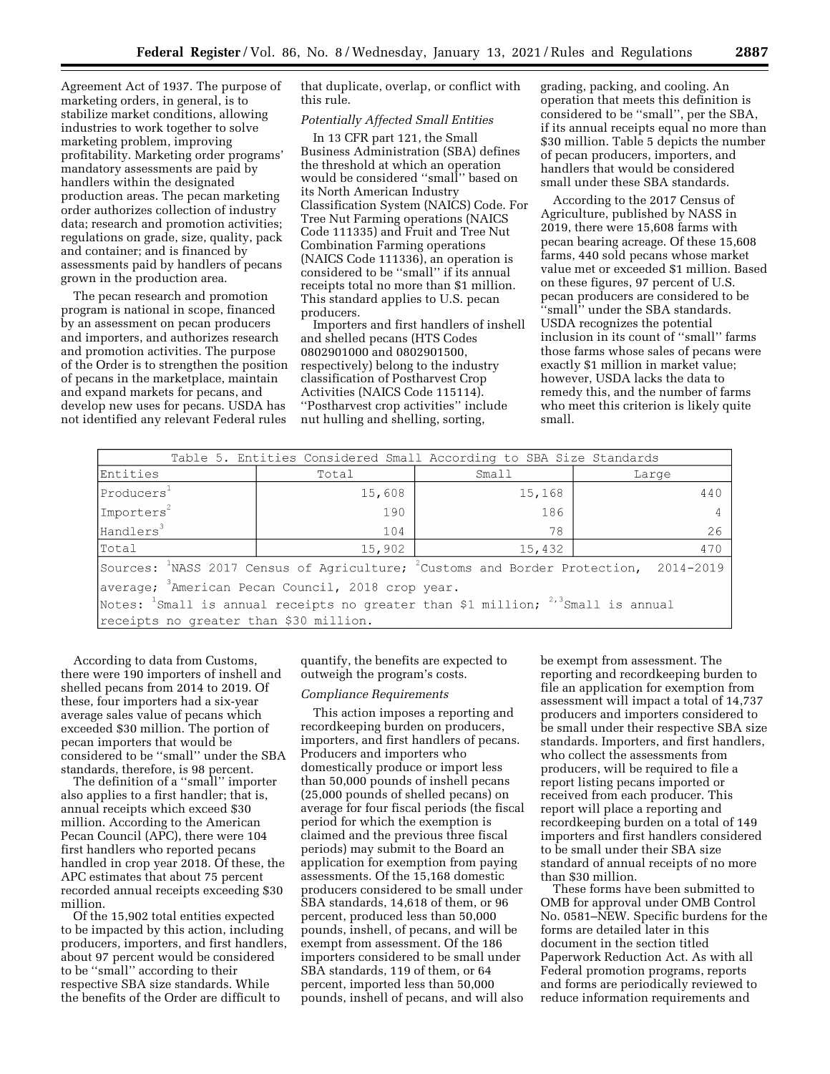Agreement Act of 1937. The purpose of marketing orders, in general, is to stabilize market conditions, allowing industries to work together to solve marketing problem, improving profitability. Marketing order programs' mandatory assessments are paid by handlers within the designated production areas. The pecan marketing order authorizes collection of industry data; research and promotion activities; regulations on grade, size, quality, pack and container; and is financed by assessments paid by handlers of pecans grown in the production area.

The pecan research and promotion program is national in scope, financed by an assessment on pecan producers and importers, and authorizes research and promotion activities. The purpose of the Order is to strengthen the position of pecans in the marketplace, maintain and expand markets for pecans, and develop new uses for pecans. USDA has not identified any relevant Federal rules

that duplicate, overlap, or conflict with this rule.

# *Potentially Affected Small Entities*

In 13 CFR part 121, the Small Business Administration (SBA) defines the threshold at which an operation would be considered ''small'' based on its North American Industry Classification System (NAICS) Code. For Tree Nut Farming operations (NAICS Code 111335) and Fruit and Tree Nut Combination Farming operations (NAICS Code 111336), an operation is considered to be ''small'' if its annual receipts total no more than \$1 million. This standard applies to U.S. pecan producers.

Importers and first handlers of inshell and shelled pecans (HTS Codes 0802901000 and 0802901500, respectively) belong to the industry classification of Postharvest Crop Activities (NAICS Code 115114). ''Postharvest crop activities'' include nut hulling and shelling, sorting,

grading, packing, and cooling. An operation that meets this definition is considered to be ''small'', per the SBA, if its annual receipts equal no more than \$30 million. Table 5 depicts the number of pecan producers, importers, and handlers that would be considered small under these SBA standards.

According to the 2017 Census of Agriculture, published by NASS in 2019, there were 15,608 farms with pecan bearing acreage. Of these 15,608 farms, 440 sold pecans whose market value met or exceeded \$1 million. Based on these figures, 97 percent of U.S. pecan producers are considered to be ''small'' under the SBA standards. USDA recognizes the potential inclusion in its count of ''small'' farms those farms whose sales of pecans were exactly \$1 million in market value; however, USDA lacks the data to remedy this, and the number of farms who meet this criterion is likely quite small.

|                                                                                                  |        | Table 5. Entities Considered Small According to SBA Size Standards |       |  |  |
|--------------------------------------------------------------------------------------------------|--------|--------------------------------------------------------------------|-------|--|--|
| Entities                                                                                         | Total  | Small                                                              | Large |  |  |
| $ $ Producers $^1\,$                                                                             | 15,608 | 15,168                                                             | 440   |  |  |
| Importers <sup>2</sup>                                                                           | 190    | 186                                                                |       |  |  |
| Handlers <sup>3</sup>                                                                            | 104    | 78                                                                 | 26    |  |  |
| Total                                                                                            | 15,902 | 15,432                                                             | 470   |  |  |
| Sources: $^{1}$ NASS 2017 Census of Agriculture; $^{2}$ Customs and Border Protection, 2014-2019 |        |                                                                    |       |  |  |
| average; <sup>3</sup> American Pecan Council, 2018 crop year.                                    |        |                                                                    |       |  |  |
| Notes: $^1$ Small is annual receipts no greater than \$1 million; $^{2,3}$ Small is annual       |        |                                                                    |       |  |  |
| receipts no greater than \$30 million.                                                           |        |                                                                    |       |  |  |
|                                                                                                  |        |                                                                    |       |  |  |

According to data from Customs, there were 190 importers of inshell and shelled pecans from 2014 to 2019. Of these, four importers had a six-year average sales value of pecans which exceeded \$30 million. The portion of pecan importers that would be considered to be ''small'' under the SBA standards, therefore, is 98 percent.

The definition of a ''small'' importer also applies to a first handler; that is, annual receipts which exceed \$30 million. According to the American Pecan Council (APC), there were 104 first handlers who reported pecans handled in crop year 2018. Of these, the APC estimates that about 75 percent recorded annual receipts exceeding \$30 million.

Of the 15,902 total entities expected to be impacted by this action, including producers, importers, and first handlers, about 97 percent would be considered to be ''small'' according to their respective SBA size standards. While the benefits of the Order are difficult to

quantify, the benefits are expected to outweigh the program's costs.

#### *Compliance Requirements*

This action imposes a reporting and recordkeeping burden on producers, importers, and first handlers of pecans. Producers and importers who domestically produce or import less than 50,000 pounds of inshell pecans (25,000 pounds of shelled pecans) on average for four fiscal periods (the fiscal period for which the exemption is claimed and the previous three fiscal periods) may submit to the Board an application for exemption from paying assessments. Of the 15,168 domestic producers considered to be small under SBA standards, 14,618 of them, or 96 percent, produced less than 50,000 pounds, inshell, of pecans, and will be exempt from assessment. Of the 186 importers considered to be small under SBA standards, 119 of them, or 64 percent, imported less than 50,000 pounds, inshell of pecans, and will also

be exempt from assessment. The reporting and recordkeeping burden to file an application for exemption from assessment will impact a total of 14,737 producers and importers considered to be small under their respective SBA size standards. Importers, and first handlers, who collect the assessments from producers, will be required to file a report listing pecans imported or received from each producer. This report will place a reporting and recordkeeping burden on a total of 149 importers and first handlers considered to be small under their SBA size standard of annual receipts of no more than \$30 million.

These forms have been submitted to OMB for approval under OMB Control No. 0581–NEW. Specific burdens for the forms are detailed later in this document in the section titled Paperwork Reduction Act. As with all Federal promotion programs, reports and forms are periodically reviewed to reduce information requirements and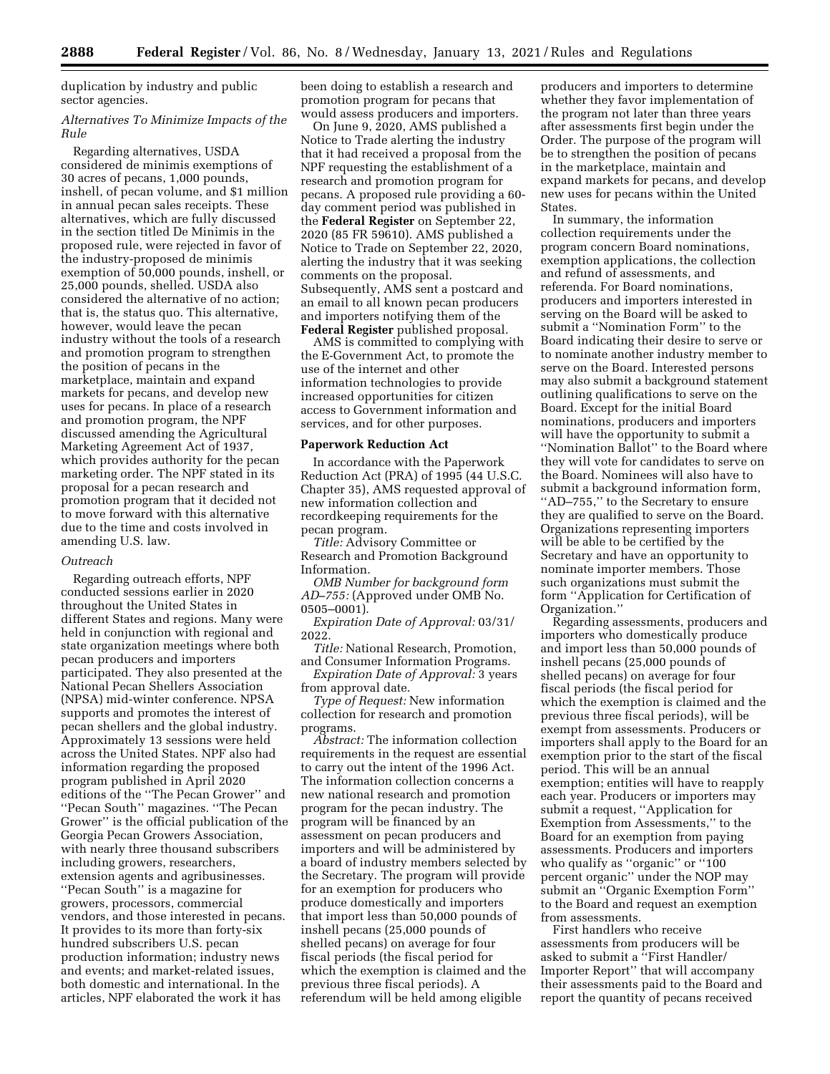duplication by industry and public sector agencies.

# *Alternatives To Minimize Impacts of the Rule*

Regarding alternatives, USDA considered de minimis exemptions of 30 acres of pecans, 1,000 pounds, inshell, of pecan volume, and \$1 million in annual pecan sales receipts. These alternatives, which are fully discussed in the section titled De Minimis in the proposed rule, were rejected in favor of the industry-proposed de minimis exemption of 50,000 pounds, inshell, or 25,000 pounds, shelled. USDA also considered the alternative of no action; that is, the status quo. This alternative, however, would leave the pecan industry without the tools of a research and promotion program to strengthen the position of pecans in the marketplace, maintain and expand markets for pecans, and develop new uses for pecans. In place of a research and promotion program, the NPF discussed amending the Agricultural Marketing Agreement Act of 1937, which provides authority for the pecan marketing order. The NPF stated in its proposal for a pecan research and promotion program that it decided not to move forward with this alternative due to the time and costs involved in amending U.S. law.

## *Outreach*

Regarding outreach efforts, NPF conducted sessions earlier in 2020 throughout the United States in different States and regions. Many were held in conjunction with regional and state organization meetings where both pecan producers and importers participated. They also presented at the National Pecan Shellers Association (NPSA) mid-winter conference. NPSA supports and promotes the interest of pecan shellers and the global industry. Approximately 13 sessions were held across the United States. NPF also had information regarding the proposed program published in April 2020 editions of the ''The Pecan Grower'' and ''Pecan South'' magazines. ''The Pecan Grower'' is the official publication of the Georgia Pecan Growers Association, with nearly three thousand subscribers including growers, researchers, extension agents and agribusinesses. ''Pecan South'' is a magazine for growers, processors, commercial vendors, and those interested in pecans. It provides to its more than forty-six hundred subscribers U.S. pecan production information; industry news and events; and market-related issues, both domestic and international. In the articles, NPF elaborated the work it has

been doing to establish a research and promotion program for pecans that would assess producers and importers.

On June 9, 2020, AMS published a Notice to Trade alerting the industry that it had received a proposal from the NPF requesting the establishment of a research and promotion program for pecans. A proposed rule providing a 60 day comment period was published in the **Federal Register** on September 22, 2020 (85 FR 59610). AMS published a Notice to Trade on September 22, 2020, alerting the industry that it was seeking comments on the proposal. Subsequently, AMS sent a postcard and an email to all known pecan producers and importers notifying them of the **Federal Register** published proposal.

AMS is committed to complying with the E-Government Act, to promote the use of the internet and other information technologies to provide increased opportunities for citizen access to Government information and services, and for other purposes.

# **Paperwork Reduction Act**

In accordance with the Paperwork Reduction Act (PRA) of 1995 (44 U.S.C. Chapter 35), AMS requested approval of new information collection and recordkeeping requirements for the pecan program.

*Title:* Advisory Committee or Research and Promotion Background Information.

*OMB Number for background form AD–755:* (Approved under OMB No. 0505–0001).

*Expiration Date of Approval:* 03/31/ 2022.

*Title:* National Research, Promotion, and Consumer Information Programs.

*Expiration Date of Approval:* 3 years from approval date.

*Type of Request:* New information collection for research and promotion programs.

*Abstract:* The information collection requirements in the request are essential to carry out the intent of the 1996 Act. The information collection concerns a new national research and promotion program for the pecan industry. The program will be financed by an assessment on pecan producers and importers and will be administered by a board of industry members selected by the Secretary. The program will provide for an exemption for producers who produce domestically and importers that import less than 50,000 pounds of inshell pecans (25,000 pounds of shelled pecans) on average for four fiscal periods (the fiscal period for which the exemption is claimed and the previous three fiscal periods). A referendum will be held among eligible

producers and importers to determine whether they favor implementation of the program not later than three years after assessments first begin under the Order. The purpose of the program will be to strengthen the position of pecans in the marketplace, maintain and expand markets for pecans, and develop new uses for pecans within the United States.

In summary, the information collection requirements under the program concern Board nominations, exemption applications, the collection and refund of assessments, and referenda. For Board nominations, producers and importers interested in serving on the Board will be asked to submit a ''Nomination Form'' to the Board indicating their desire to serve or to nominate another industry member to serve on the Board. Interested persons may also submit a background statement outlining qualifications to serve on the Board. Except for the initial Board nominations, producers and importers will have the opportunity to submit a ''Nomination Ballot'' to the Board where they will vote for candidates to serve on the Board. Nominees will also have to submit a background information form, ''AD–755,'' to the Secretary to ensure they are qualified to serve on the Board. Organizations representing importers will be able to be certified by the Secretary and have an opportunity to nominate importer members. Those such organizations must submit the form ''Application for Certification of Organization.''

Regarding assessments, producers and importers who domestically produce and import less than 50,000 pounds of inshell pecans (25,000 pounds of shelled pecans) on average for four fiscal periods (the fiscal period for which the exemption is claimed and the previous three fiscal periods), will be exempt from assessments. Producers or importers shall apply to the Board for an exemption prior to the start of the fiscal period. This will be an annual exemption; entities will have to reapply each year. Producers or importers may submit a request, ''Application for Exemption from Assessments,'' to the Board for an exemption from paying assessments. Producers and importers who qualify as ''organic'' or ''100 percent organic'' under the NOP may submit an ''Organic Exemption Form'' to the Board and request an exemption from assessments.

First handlers who receive assessments from producers will be asked to submit a ''First Handler/ Importer Report'' that will accompany their assessments paid to the Board and report the quantity of pecans received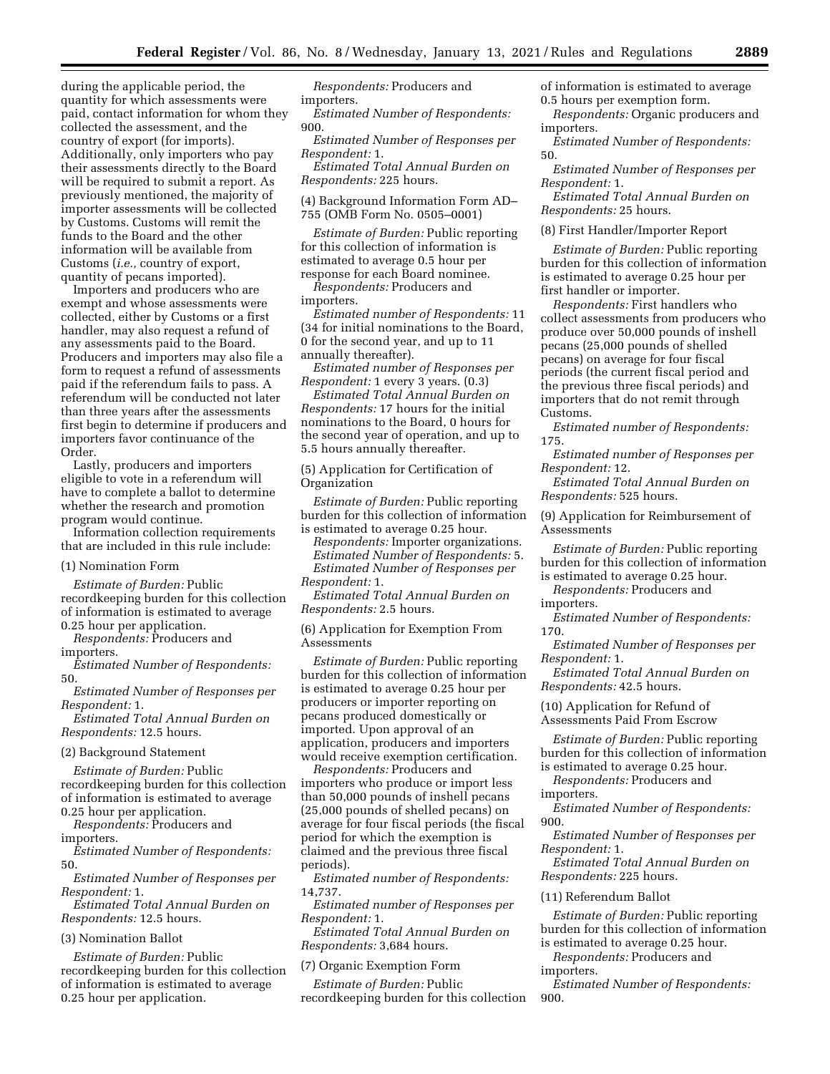during the applicable period, the quantity for which assessments were paid, contact information for whom they collected the assessment, and the country of export (for imports). Additionally, only importers who pay their assessments directly to the Board will be required to submit a report. As previously mentioned, the majority of importer assessments will be collected by Customs. Customs will remit the funds to the Board and the other information will be available from Customs (*i.e.,* country of export, quantity of pecans imported).

Importers and producers who are exempt and whose assessments were collected, either by Customs or a first handler, may also request a refund of any assessments paid to the Board. Producers and importers may also file a form to request a refund of assessments paid if the referendum fails to pass. A referendum will be conducted not later than three years after the assessments first begin to determine if producers and importers favor continuance of the Order.

Lastly, producers and importers eligible to vote in a referendum will have to complete a ballot to determine whether the research and promotion program would continue.

Information collection requirements that are included in this rule include:

#### (1) Nomination Form

*Estimate of Burden:* Public recordkeeping burden for this collection of information is estimated to average 0.25 hour per application.

*Respondents:* Producers and importers.

*Estimated Number of Respondents:*  50.

*Estimated Number of Responses per Respondent:* 1.

*Estimated Total Annual Burden on Respondents:* 12.5 hours.

#### (2) Background Statement

*Estimate of Burden:* Public recordkeeping burden for this collection of information is estimated to average 0.25 hour per application.

*Respondents:* Producers and importers.

*Estimated Number of Respondents:*  50.

*Estimated Number of Responses per Respondent:* 1.

*Estimated Total Annual Burden on Respondents:* 12.5 hours.

#### (3) Nomination Ballot

*Estimate of Burden:* Public recordkeeping burden for this collection of information is estimated to average 0.25 hour per application.

*Respondents:* Producers and importers.

*Estimated Number of Respondents:*  900.

*Estimated Number of Responses per Respondent:* 1.

*Estimated Total Annual Burden on Respondents:* 225 hours.

(4) Background Information Form AD– 755 (OMB Form No. 0505–0001)

*Estimate of Burden:* Public reporting for this collection of information is estimated to average 0.5 hour per response for each Board nominee.

*Respondents:* Producers and importers.

*Estimated number of Respondents:* 11 (34 for initial nominations to the Board, 0 for the second year, and up to 11 annually thereafter).

*Estimated number of Responses per Respondent:* 1 every 3 years. (0.3)

*Estimated Total Annual Burden on Respondents:* 17 hours for the initial nominations to the Board, 0 hours for the second year of operation, and up to 5.5 hours annually thereafter.

(5) Application for Certification of Organization

*Estimate of Burden:* Public reporting burden for this collection of information is estimated to average 0.25 hour.

*Respondents:* Importer organizations. *Estimated Number of Respondents:* 5.

*Estimated Number of Responses per Respondent:* 1.

*Estimated Total Annual Burden on Respondents:* 2.5 hours.

(6) Application for Exemption From Assessments

*Estimate of Burden:* Public reporting burden for this collection of information is estimated to average 0.25 hour per producers or importer reporting on pecans produced domestically or imported. Upon approval of an application, producers and importers would receive exemption certification.

*Respondents:* Producers and importers who produce or import less than 50,000 pounds of inshell pecans (25,000 pounds of shelled pecans) on average for four fiscal periods (the fiscal period for which the exemption is claimed and the previous three fiscal periods).

*Estimated number of Respondents:*  14,737.

*Estimated number of Responses per Respondent:* 1.

*Estimated Total Annual Burden on Respondents:* 3,684 hours.

(7) Organic Exemption Form

*Estimate of Burden:* Public recordkeeping burden for this collection of information is estimated to average 0.5 hours per exemption form.

*Respondents:* Organic producers and importers.

*Estimated Number of Respondents:*  50.

*Estimated Number of Responses per Respondent:* 1.

*Estimated Total Annual Burden on Respondents:* 25 hours.

(8) First Handler/Importer Report

*Estimate of Burden:* Public reporting burden for this collection of information is estimated to average 0.25 hour per first handler or importer.

*Respondents:* First handlers who collect assessments from producers who produce over 50,000 pounds of inshell pecans (25,000 pounds of shelled pecans) on average for four fiscal periods (the current fiscal period and the previous three fiscal periods) and importers that do not remit through Customs.

*Estimated number of Respondents:*  175.

*Estimated number of Responses per Respondent:* 12.

*Estimated Total Annual Burden on Respondents:* 525 hours.

(9) Application for Reimbursement of Assessments

*Estimate of Burden:* Public reporting burden for this collection of information is estimated to average 0.25 hour.

*Respondents:* Producers and importers.

*Estimated Number of Respondents:*  170.

*Estimated Number of Responses per Respondent:* 1.

*Estimated Total Annual Burden on Respondents:* 42.5 hours.

(10) Application for Refund of Assessments Paid From Escrow

*Estimate of Burden:* Public reporting burden for this collection of information is estimated to average 0.25 hour.

*Respondents:* Producers and importers.

*Estimated Number of Respondents:*  900.

*Estimated Number of Responses per Respondent:* 1.

*Estimated Total Annual Burden on Respondents:* 225 hours.

#### (11) Referendum Ballot

*Estimate of Burden:* Public reporting burden for this collection of information is estimated to average 0.25 hour.

*Respondents:* Producers and

importers.

*Estimated Number of Respondents:*  900.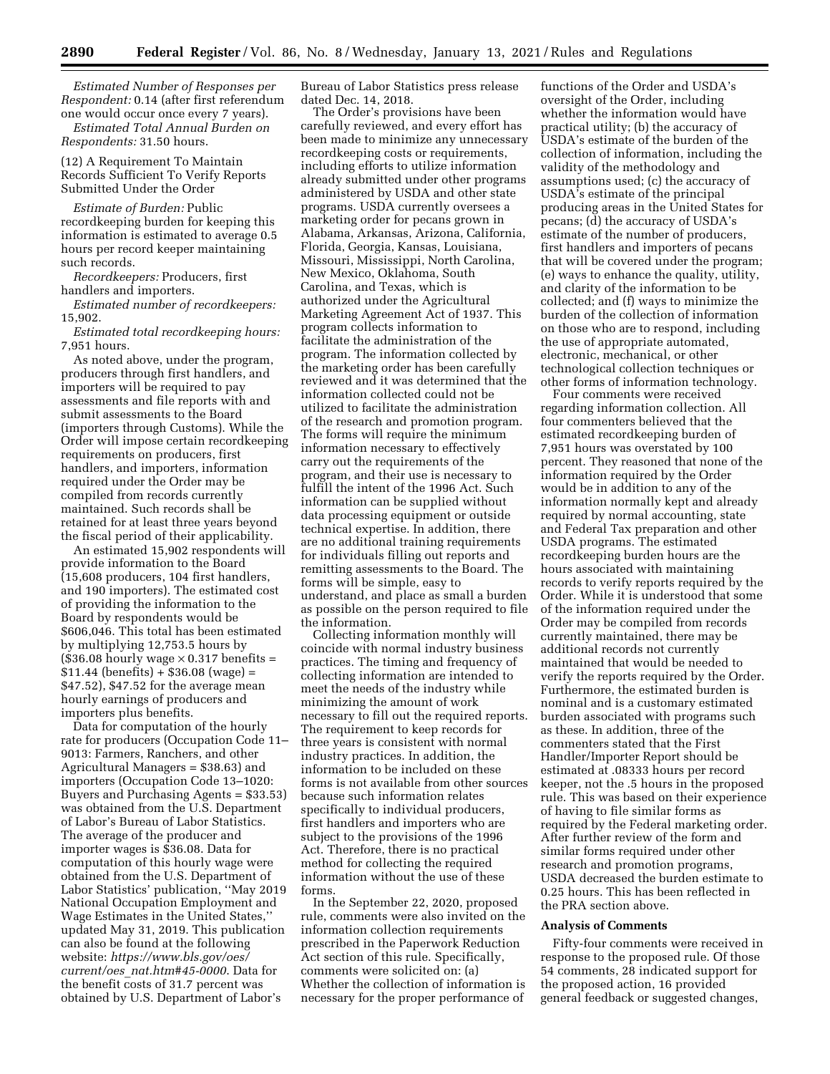*Estimated Number of Responses per Respondent:* 0.14 (after first referendum one would occur once every 7 years).

*Estimated Total Annual Burden on Respondents:* 31.50 hours.

(12) A Requirement To Maintain Records Sufficient To Verify Reports Submitted Under the Order

*Estimate of Burden:* Public recordkeeping burden for keeping this information is estimated to average 0.5 hours per record keeper maintaining such records.

*Recordkeepers:* Producers, first handlers and importers.

*Estimated number of recordkeepers:*  15,902.

*Estimated total recordkeeping hours:*  7,951 hours.

As noted above, under the program, producers through first handlers, and importers will be required to pay assessments and file reports with and submit assessments to the Board (importers through Customs). While the Order will impose certain recordkeeping requirements on producers, first handlers, and importers, information required under the Order may be compiled from records currently maintained. Such records shall be retained for at least three years beyond the fiscal period of their applicability.

An estimated 15,902 respondents will provide information to the Board (15,608 producers, 104 first handlers, and 190 importers). The estimated cost of providing the information to the Board by respondents would be \$606,046. This total has been estimated by multiplying 12,753.5 hours by  $($36.08$$  hourly wage  $\times 0.317$  benefits =  $$11.44$  (benefits) +  $$36.08$  (wage) = \$47.52), \$47.52 for the average mean hourly earnings of producers and importers plus benefits.

Data for computation of the hourly rate for producers (Occupation Code 11– 9013: Farmers, Ranchers, and other Agricultural Managers = \$38.63) and importers (Occupation Code 13–1020: Buyers and Purchasing Agents = \$33.53) was obtained from the U.S. Department of Labor's Bureau of Labor Statistics. The average of the producer and importer wages is \$36.08. Data for computation of this hourly wage were obtained from the U.S. Department of Labor Statistics' publication, ''May 2019 National Occupation Employment and Wage Estimates in the United States,'' updated May 31, 2019. This publication can also be found at the following website: *[https://www.bls.gov/oes/](https://www.bls.gov/oes/current/oes_nat.htm#45-0000)  current/oes*\_*[nat.htm#45-0000](https://www.bls.gov/oes/current/oes_nat.htm#45-0000)*. Data for the benefit costs of 31.7 percent was obtained by U.S. Department of Labor's

Bureau of Labor Statistics press release dated Dec. 14, 2018.

The Order's provisions have been carefully reviewed, and every effort has been made to minimize any unnecessary recordkeeping costs or requirements, including efforts to utilize information already submitted under other programs administered by USDA and other state programs. USDA currently oversees a marketing order for pecans grown in Alabama, Arkansas, Arizona, California, Florida, Georgia, Kansas, Louisiana, Missouri, Mississippi, North Carolina, New Mexico, Oklahoma, South Carolina, and Texas, which is authorized under the Agricultural Marketing Agreement Act of 1937. This program collects information to facilitate the administration of the program. The information collected by the marketing order has been carefully reviewed and it was determined that the information collected could not be utilized to facilitate the administration of the research and promotion program. The forms will require the minimum information necessary to effectively carry out the requirements of the program, and their use is necessary to fulfill the intent of the 1996 Act. Such information can be supplied without data processing equipment or outside technical expertise. In addition, there are no additional training requirements for individuals filling out reports and remitting assessments to the Board. The forms will be simple, easy to understand, and place as small a burden as possible on the person required to file the information.

Collecting information monthly will coincide with normal industry business practices. The timing and frequency of collecting information are intended to meet the needs of the industry while minimizing the amount of work necessary to fill out the required reports. The requirement to keep records for three years is consistent with normal industry practices. In addition, the information to be included on these forms is not available from other sources because such information relates specifically to individual producers, first handlers and importers who are subject to the provisions of the 1996 Act. Therefore, there is no practical method for collecting the required information without the use of these forms.

In the September 22, 2020, proposed rule, comments were also invited on the information collection requirements prescribed in the Paperwork Reduction Act section of this rule. Specifically, comments were solicited on: (a) Whether the collection of information is necessary for the proper performance of

functions of the Order and USDA's oversight of the Order, including whether the information would have practical utility; (b) the accuracy of USDA's estimate of the burden of the collection of information, including the validity of the methodology and assumptions used; (c) the accuracy of USDA's estimate of the principal producing areas in the United States for pecans; (d) the accuracy of USDA's estimate of the number of producers, first handlers and importers of pecans that will be covered under the program; (e) ways to enhance the quality, utility, and clarity of the information to be collected; and (f) ways to minimize the burden of the collection of information on those who are to respond, including the use of appropriate automated, electronic, mechanical, or other technological collection techniques or other forms of information technology.

Four comments were received regarding information collection. All four commenters believed that the estimated recordkeeping burden of 7,951 hours was overstated by 100 percent. They reasoned that none of the information required by the Order would be in addition to any of the information normally kept and already required by normal accounting, state and Federal Tax preparation and other USDA programs. The estimated recordkeeping burden hours are the hours associated with maintaining records to verify reports required by the Order. While it is understood that some of the information required under the Order may be compiled from records currently maintained, there may be additional records not currently maintained that would be needed to verify the reports required by the Order. Furthermore, the estimated burden is nominal and is a customary estimated burden associated with programs such as these. In addition, three of the commenters stated that the First Handler/Importer Report should be estimated at .08333 hours per record keeper, not the .5 hours in the proposed rule. This was based on their experience of having to file similar forms as required by the Federal marketing order. After further review of the form and similar forms required under other research and promotion programs, USDA decreased the burden estimate to 0.25 hours. This has been reflected in the PRA section above.

#### **Analysis of Comments**

Fifty-four comments were received in response to the proposed rule. Of those 54 comments, 28 indicated support for the proposed action, 16 provided general feedback or suggested changes,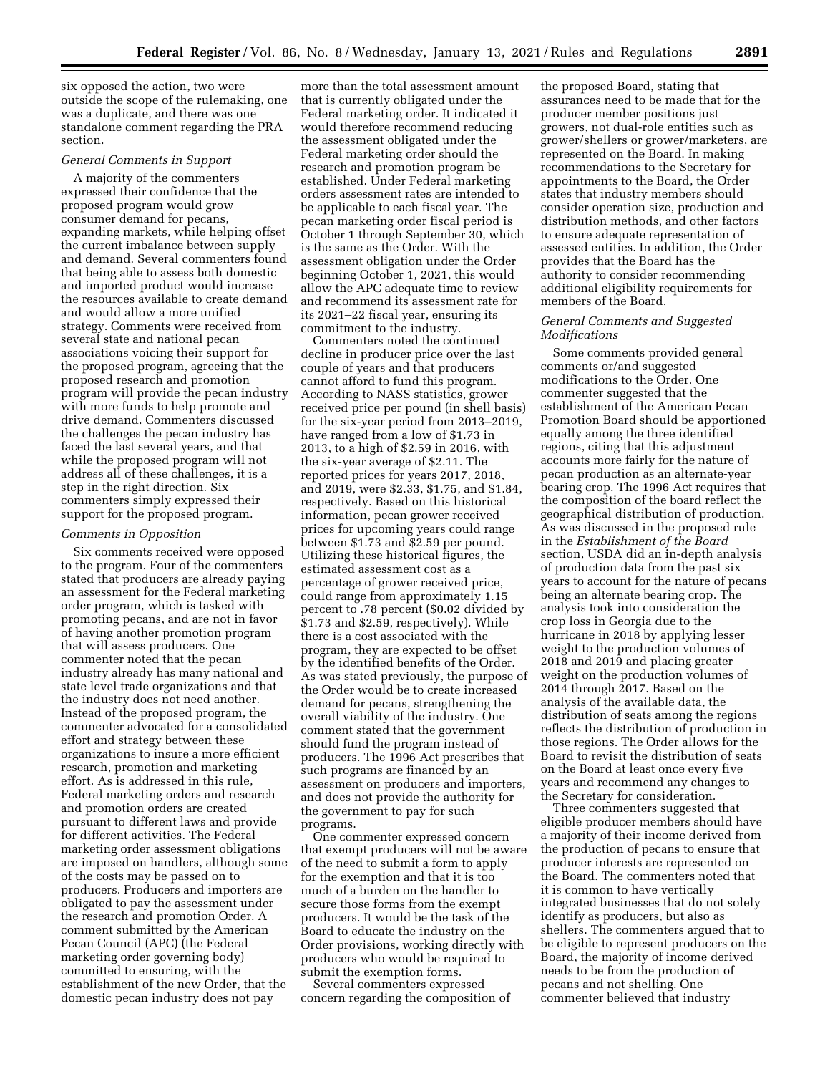six opposed the action, two were outside the scope of the rulemaking, one was a duplicate, and there was one standalone comment regarding the PRA section.

# *General Comments in Support*

A majority of the commenters expressed their confidence that the proposed program would grow consumer demand for pecans, expanding markets, while helping offset the current imbalance between supply and demand. Several commenters found that being able to assess both domestic and imported product would increase the resources available to create demand and would allow a more unified strategy. Comments were received from several state and national pecan associations voicing their support for the proposed program, agreeing that the proposed research and promotion program will provide the pecan industry with more funds to help promote and drive demand. Commenters discussed the challenges the pecan industry has faced the last several years, and that while the proposed program will not address all of these challenges, it is a step in the right direction. Six commenters simply expressed their support for the proposed program.

# *Comments in Opposition*

Six comments received were opposed to the program. Four of the commenters stated that producers are already paying an assessment for the Federal marketing order program, which is tasked with promoting pecans, and are not in favor of having another promotion program that will assess producers. One commenter noted that the pecan industry already has many national and state level trade organizations and that the industry does not need another. Instead of the proposed program, the commenter advocated for a consolidated effort and strategy between these organizations to insure a more efficient research, promotion and marketing effort. As is addressed in this rule, Federal marketing orders and research and promotion orders are created pursuant to different laws and provide for different activities. The Federal marketing order assessment obligations are imposed on handlers, although some of the costs may be passed on to producers. Producers and importers are obligated to pay the assessment under the research and promotion Order. A comment submitted by the American Pecan Council (APC) (the Federal marketing order governing body) committed to ensuring, with the establishment of the new Order, that the domestic pecan industry does not pay

more than the total assessment amount that is currently obligated under the Federal marketing order. It indicated it would therefore recommend reducing the assessment obligated under the Federal marketing order should the research and promotion program be established. Under Federal marketing orders assessment rates are intended to be applicable to each fiscal year. The pecan marketing order fiscal period is October 1 through September 30, which is the same as the Order. With the assessment obligation under the Order beginning October 1, 2021, this would allow the APC adequate time to review and recommend its assessment rate for its 2021–22 fiscal year, ensuring its commitment to the industry.

Commenters noted the continued decline in producer price over the last couple of years and that producers cannot afford to fund this program. According to NASS statistics, grower received price per pound (in shell basis) for the six-year period from 2013–2019, have ranged from a low of \$1.73 in 2013, to a high of \$2.59 in 2016, with the six-year average of \$2.11. The reported prices for years 2017, 2018, and 2019, were \$2.33, \$1.75, and \$1.84, respectively. Based on this historical information, pecan grower received prices for upcoming years could range between \$1.73 and \$2.59 per pound. Utilizing these historical figures, the estimated assessment cost as a percentage of grower received price, could range from approximately 1.15 percent to .78 percent (\$0.02 divided by \$1.73 and \$2.59, respectively). While there is a cost associated with the program, they are expected to be offset by the identified benefits of the Order. As was stated previously, the purpose of the Order would be to create increased demand for pecans, strengthening the overall viability of the industry. One comment stated that the government should fund the program instead of producers. The 1996 Act prescribes that such programs are financed by an assessment on producers and importers, and does not provide the authority for the government to pay for such programs.

One commenter expressed concern that exempt producers will not be aware of the need to submit a form to apply for the exemption and that it is too much of a burden on the handler to secure those forms from the exempt producers. It would be the task of the Board to educate the industry on the Order provisions, working directly with producers who would be required to submit the exemption forms.

Several commenters expressed concern regarding the composition of

the proposed Board, stating that assurances need to be made that for the producer member positions just growers, not dual-role entities such as grower/shellers or grower/marketers, are represented on the Board. In making recommendations to the Secretary for appointments to the Board, the Order states that industry members should consider operation size, production and distribution methods, and other factors to ensure adequate representation of assessed entities. In addition, the Order provides that the Board has the authority to consider recommending additional eligibility requirements for members of the Board.

# *General Comments and Suggested Modifications*

Some comments provided general comments or/and suggested modifications to the Order. One commenter suggested that the establishment of the American Pecan Promotion Board should be apportioned equally among the three identified regions, citing that this adjustment accounts more fairly for the nature of pecan production as an alternate-year bearing crop. The 1996 Act requires that the composition of the board reflect the geographical distribution of production. As was discussed in the proposed rule in the *Establishment of the Board*  section, USDA did an in-depth analysis of production data from the past six years to account for the nature of pecans being an alternate bearing crop. The analysis took into consideration the crop loss in Georgia due to the hurricane in 2018 by applying lesser weight to the production volumes of 2018 and 2019 and placing greater weight on the production volumes of 2014 through 2017. Based on the analysis of the available data, the distribution of seats among the regions reflects the distribution of production in those regions. The Order allows for the Board to revisit the distribution of seats on the Board at least once every five years and recommend any changes to the Secretary for consideration.

Three commenters suggested that eligible producer members should have a majority of their income derived from the production of pecans to ensure that producer interests are represented on the Board. The commenters noted that it is common to have vertically integrated businesses that do not solely identify as producers, but also as shellers. The commenters argued that to be eligible to represent producers on the Board, the majority of income derived needs to be from the production of pecans and not shelling. One commenter believed that industry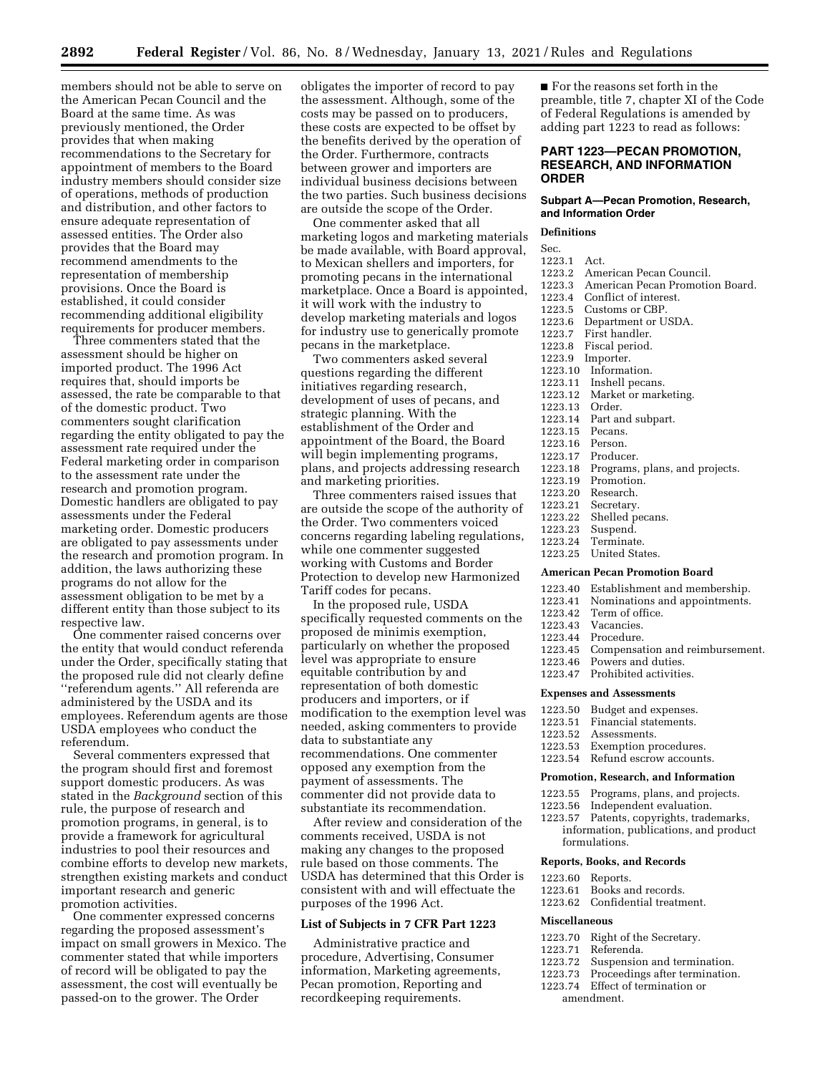members should not be able to serve on the American Pecan Council and the Board at the same time. As was previously mentioned, the Order provides that when making recommendations to the Secretary for appointment of members to the Board industry members should consider size of operations, methods of production and distribution, and other factors to ensure adequate representation of assessed entities. The Order also provides that the Board may recommend amendments to the representation of membership provisions. Once the Board is established, it could consider recommending additional eligibility requirements for producer members.

Three commenters stated that the assessment should be higher on imported product. The 1996 Act requires that, should imports be assessed, the rate be comparable to that of the domestic product. Two commenters sought clarification regarding the entity obligated to pay the assessment rate required under the Federal marketing order in comparison to the assessment rate under the research and promotion program. Domestic handlers are obligated to pay assessments under the Federal marketing order. Domestic producers are obligated to pay assessments under the research and promotion program. In addition, the laws authorizing these programs do not allow for the assessment obligation to be met by a different entity than those subject to its respective law.

One commenter raised concerns over the entity that would conduct referenda under the Order, specifically stating that the proposed rule did not clearly define ''referendum agents.'' All referenda are administered by the USDA and its employees. Referendum agents are those USDA employees who conduct the referendum.

Several commenters expressed that the program should first and foremost support domestic producers. As was stated in the *Background* section of this rule, the purpose of research and promotion programs, in general, is to provide a framework for agricultural industries to pool their resources and combine efforts to develop new markets, strengthen existing markets and conduct important research and generic promotion activities.

One commenter expressed concerns regarding the proposed assessment's impact on small growers in Mexico. The commenter stated that while importers of record will be obligated to pay the assessment, the cost will eventually be passed-on to the grower. The Order

obligates the importer of record to pay the assessment. Although, some of the costs may be passed on to producers, these costs are expected to be offset by the benefits derived by the operation of the Order. Furthermore, contracts between grower and importers are individual business decisions between the two parties. Such business decisions are outside the scope of the Order.

One commenter asked that all marketing logos and marketing materials be made available, with Board approval, to Mexican shellers and importers, for promoting pecans in the international marketplace. Once a Board is appointed, it will work with the industry to develop marketing materials and logos for industry use to generically promote pecans in the marketplace.

Two commenters asked several questions regarding the different initiatives regarding research, development of uses of pecans, and strategic planning. With the establishment of the Order and appointment of the Board, the Board will begin implementing programs, plans, and projects addressing research and marketing priorities.

Three commenters raised issues that are outside the scope of the authority of the Order. Two commenters voiced concerns regarding labeling regulations, while one commenter suggested working with Customs and Border Protection to develop new Harmonized Tariff codes for pecans.

In the proposed rule, USDA specifically requested comments on the proposed de minimis exemption, particularly on whether the proposed level was appropriate to ensure equitable contribution by and representation of both domestic producers and importers, or if modification to the exemption level was needed, asking commenters to provide data to substantiate any recommendations. One commenter opposed any exemption from the payment of assessments. The commenter did not provide data to substantiate its recommendation.

After review and consideration of the comments received, USDA is not making any changes to the proposed rule based on those comments. The USDA has determined that this Order is consistent with and will effectuate the purposes of the 1996 Act.

# **List of Subjects in 7 CFR Part 1223**

Administrative practice and procedure, Advertising, Consumer information, Marketing agreements, Pecan promotion, Reporting and recordkeeping requirements.

■ For the reasons set forth in the preamble, title 7, chapter XI of the Code of Federal Regulations is amended by adding part 1223 to read as follows:

# **PART 1223—PECAN PROMOTION, RESEARCH, AND INFORMATION ORDER**

### **Subpart A—Pecan Promotion, Research, and Information Order**

# **Definitions**

- Sec.
- 1223.1 Act.<br>1223.2 Ame
	- American Pecan Council.
- 1223.3 American Pecan Promotion Board.
- Conflict of interest.
- 1223.5 Customs or CBP.<br>1223.6 Department or U
- 1223.6 Department or USDA.<br>1223.7 First handler.
- First handler.
- 1223.8 Fiscal period.
- Importer.
- 1223.10 Information.
- 1223.11 Inshell pecans.<br>1223.12 Market or mark
- Market or marketing.
- 1223.13 Order.
- Part and subpart.
- 1223.15 Pecans.
- 1223.16 Person.
- 1223.17 Producer.<br>1223.18 Programs,
- 1223.18 Programs, plans, and projects.<br>1223.19 Promotion.
- Promotion.
- 1223.20 Research.<br>1223.21 Secretary.
- 1223.21 Secretary.<br>1223.22 Shelled pe
- 1223.22 Shelled pecans.<br>1223.23 Suspend.
- 1223.23 Suspend. Terminate.
- 1223.25 United States.
- 

# **American Pecan Promotion Board**

- 1223.40 Establishment and membership.<br>1223.41 Nominations and appointments.
- Nominations and appointments.
- 1223.42 Term of office.
- 1223.43 Vacancies.
- Procedure.
- 1223.45 Compensation and reimbursement.
- Powers and duties.
- 1223.47 Prohibited activities.

# **Expenses and Assessments**

- 
- 1223.51 Financial statements.<br>1223.52 Assessments.
- 1223.52 Assessments.<br>1223.53 Exemption pr
- 1223.53 Exemption procedures.<br>1223.54 Refund escrow account
- Refund escrow accounts.

#### **Promotion, Research, and Information**

- 
- Independent evaluation.
- 
- formulations.

# **Reports, Books, and Records**

- 1223.60 Reports.
- 1223.61 Books and records.
- 1223.62 Confidential treatment.

# **Miscellaneous**

- 1223.70 Right of the Secretary.<br>1223.71 Referenda.
- 1223.71 Referenda.
- 1223.72 Suspension and termination.<br>1223.73 Proceedings after termination.
- 1223.73 Proceedings after termination.<br>1223.74 Effect of termination or
- Effect of termination or amendment.

- 1223.50 Budget and expenses.<br>1223.51 Financial statements.
	-
	-
	-

- 
- 1223.55 Programs, plans, and projects.
- 1223.57 Patents, copyrights, trademarks,
- information, publications, and product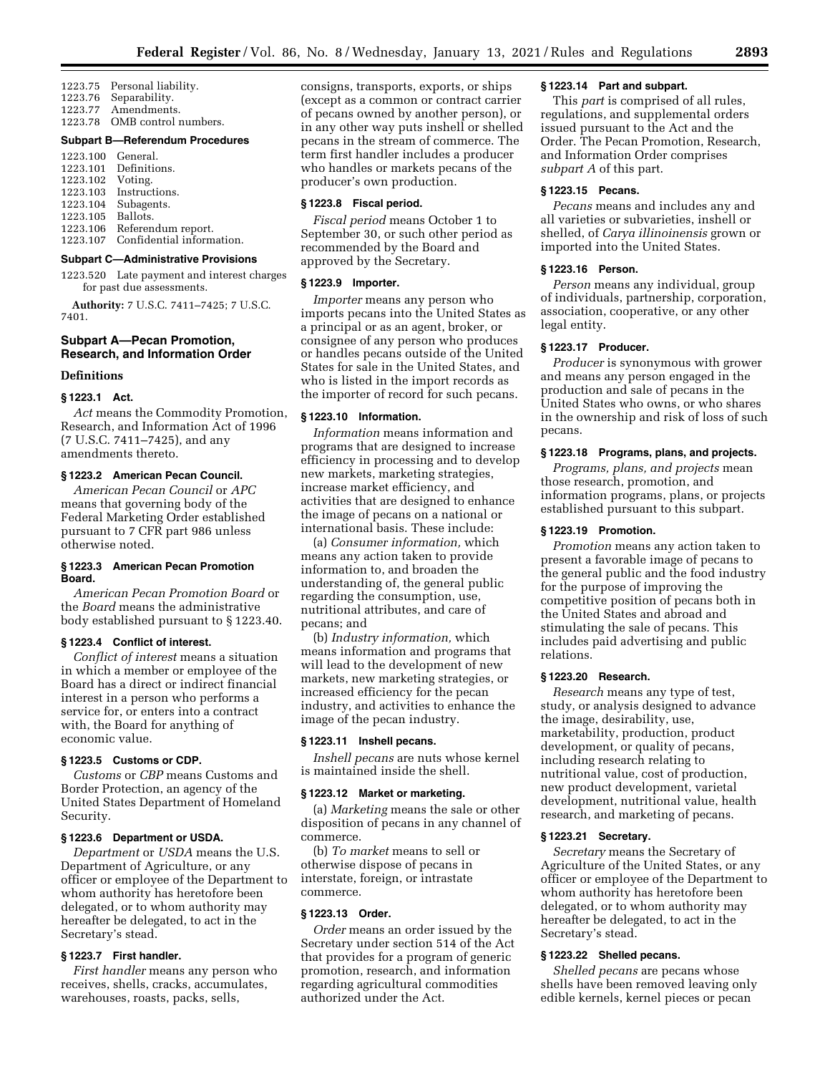1223.75 Personal liability. 1223.76 Separability. 1223.77 Amendments.<br>1223.78 OMB control OMB control numbers.

#### **Subpart B—Referendum Procedures**

| 1223.100 General.         |
|---------------------------|
| Definitions.              |
| Voting.                   |
| 1223.103 Instructions.    |
| Subagents.                |
| Ballots.                  |
| Referendum report.        |
| Confidential information. |
|                           |

#### **Subpart C—Administrative Provisions**

1223.520 Late payment and interest charges for past due assessments.

**Authority:** 7 U.S.C. 7411–7425; 7 U.S.C. 7401.

# **Subpart A—Pecan Promotion, Research, and Information Order**

#### **Definitions**

# **§ 1223.1 Act.**

*Act* means the Commodity Promotion, Research, and Information Act of 1996 (7 U.S.C. 7411–7425), and any amendments thereto.

# **§ 1223.2 American Pecan Council.**

*American Pecan Council* or *APC*  means that governing body of the Federal Marketing Order established pursuant to 7 CFR part 986 unless otherwise noted.

# **§ 1223.3 American Pecan Promotion Board.**

*American Pecan Promotion Board* or the *Board* means the administrative body established pursuant to § 1223.40.

# **§ 1223.4 Conflict of interest.**

*Conflict of interest* means a situation in which a member or employee of the Board has a direct or indirect financial interest in a person who performs a service for, or enters into a contract with, the Board for anything of economic value.

# **§ 1223.5 Customs or CDP.**

*Customs* or *CBP* means Customs and Border Protection, an agency of the United States Department of Homeland Security.

# **§ 1223.6 Department or USDA.**

*Department* or *USDA* means the U.S. Department of Agriculture, or any officer or employee of the Department to whom authority has heretofore been delegated, or to whom authority may hereafter be delegated, to act in the Secretary's stead.

# **§ 1223.7 First handler.**

*First handler* means any person who receives, shells, cracks, accumulates, warehouses, roasts, packs, sells,

consigns, transports, exports, or ships (except as a common or contract carrier of pecans owned by another person), or in any other way puts inshell or shelled pecans in the stream of commerce. The term first handler includes a producer who handles or markets pecans of the producer's own production.

#### **§ 1223.8 Fiscal period.**

*Fiscal period* means October 1 to September 30, or such other period as recommended by the Board and approved by the Secretary.

### **§ 1223.9 Importer.**

*Importer* means any person who imports pecans into the United States as a principal or as an agent, broker, or consignee of any person who produces or handles pecans outside of the United States for sale in the United States, and who is listed in the import records as the importer of record for such pecans.

#### **§ 1223.10 Information.**

*Information* means information and programs that are designed to increase efficiency in processing and to develop new markets, marketing strategies, increase market efficiency, and activities that are designed to enhance the image of pecans on a national or international basis. These include:

(a) *Consumer information,* which means any action taken to provide information to, and broaden the understanding of, the general public regarding the consumption, use, nutritional attributes, and care of pecans; and

(b) *Industry information,* which means information and programs that will lead to the development of new markets, new marketing strategies, or increased efficiency for the pecan industry, and activities to enhance the image of the pecan industry.

#### **§ 1223.11 Inshell pecans.**

*Inshell pecans* are nuts whose kernel is maintained inside the shell.

#### **§ 1223.12 Market or marketing.**

(a) *Marketing* means the sale or other disposition of pecans in any channel of commerce.

(b) *To market* means to sell or otherwise dispose of pecans in interstate, foreign, or intrastate commerce.

# **§ 1223.13 Order.**

*Order* means an order issued by the Secretary under section 514 of the Act that provides for a program of generic promotion, research, and information regarding agricultural commodities authorized under the Act.

# **§ 1223.14 Part and subpart.**

This *part* is comprised of all rules, regulations, and supplemental orders issued pursuant to the Act and the Order. The Pecan Promotion, Research, and Information Order comprises *subpart A* of this part.

# **§ 1223.15 Pecans.**

*Pecans* means and includes any and all varieties or subvarieties, inshell or shelled, of *Carya illinoinensis* grown or imported into the United States.

#### **§ 1223.16 Person.**

*Person* means any individual, group of individuals, partnership, corporation, association, cooperative, or any other legal entity.

#### **§ 1223.17 Producer.**

*Producer* is synonymous with grower and means any person engaged in the production and sale of pecans in the United States who owns, or who shares in the ownership and risk of loss of such pecans.

#### **§ 1223.18 Programs, plans, and projects.**

*Programs, plans, and projects* mean those research, promotion, and information programs, plans, or projects established pursuant to this subpart.

#### **§ 1223.19 Promotion.**

*Promotion* means any action taken to present a favorable image of pecans to the general public and the food industry for the purpose of improving the competitive position of pecans both in the United States and abroad and stimulating the sale of pecans. This includes paid advertising and public relations.

#### **§ 1223.20 Research.**

*Research* means any type of test, study, or analysis designed to advance the image, desirability, use, marketability, production, product development, or quality of pecans, including research relating to nutritional value, cost of production, new product development, varietal development, nutritional value, health research, and marketing of pecans.

#### **§ 1223.21 Secretary.**

*Secretary* means the Secretary of Agriculture of the United States, or any officer or employee of the Department to whom authority has heretofore been delegated, or to whom authority may hereafter be delegated, to act in the Secretary's stead.

# **§ 1223.22 Shelled pecans.**

*Shelled pecans* are pecans whose shells have been removed leaving only edible kernels, kernel pieces or pecan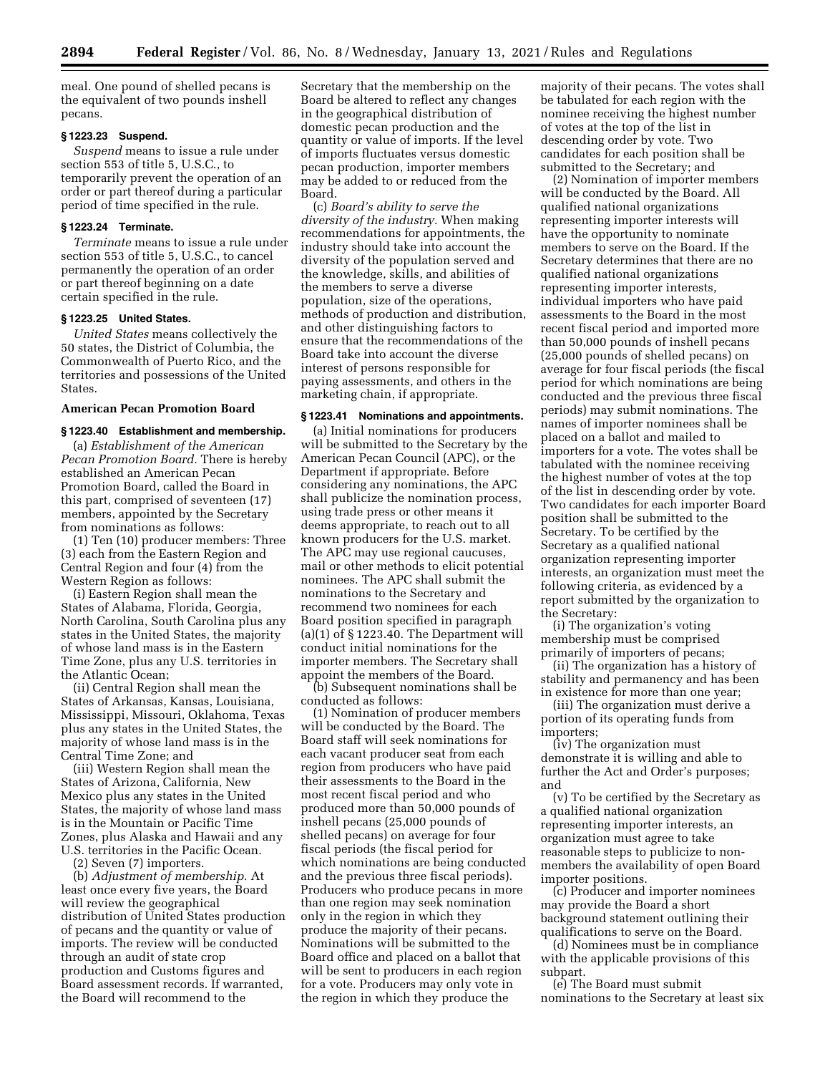meal. One pound of shelled pecans is the equivalent of two pounds inshell pecans.

#### **§ 1223.23 Suspend.**

*Suspend* means to issue a rule under section 553 of title 5, U.S.C., to temporarily prevent the operation of an order or part thereof during a particular period of time specified in the rule.

#### **§ 1223.24 Terminate.**

*Terminate* means to issue a rule under section 553 of title 5, U.S.C., to cancel permanently the operation of an order or part thereof beginning on a date certain specified in the rule.

# **§ 1223.25 United States.**

*United States* means collectively the 50 states, the District of Columbia, the Commonwealth of Puerto Rico, and the territories and possessions of the United States.

# **American Pecan Promotion Board**

# **§ 1223.40 Establishment and membership.**

(a) *Establishment of the American Pecan Promotion Board.* There is hereby established an American Pecan Promotion Board, called the Board in this part, comprised of seventeen (17) members, appointed by the Secretary from nominations as follows:

(1) Ten (10) producer members: Three (3) each from the Eastern Region and Central Region and four (4) from the Western Region as follows:

(i) Eastern Region shall mean the States of Alabama, Florida, Georgia, North Carolina, South Carolina plus any states in the United States, the majority of whose land mass is in the Eastern Time Zone, plus any U.S. territories in the Atlantic Ocean;

(ii) Central Region shall mean the States of Arkansas, Kansas, Louisiana, Mississippi, Missouri, Oklahoma, Texas plus any states in the United States, the majority of whose land mass is in the Central Time Zone; and

(iii) Western Region shall mean the States of Arizona, California, New Mexico plus any states in the United States, the majority of whose land mass is in the Mountain or Pacific Time Zones, plus Alaska and Hawaii and any U.S. territories in the Pacific Ocean.

(2) Seven (7) importers.

(b) *Adjustment of membership.* At least once every five years, the Board will review the geographical distribution of United States production of pecans and the quantity or value of imports. The review will be conducted through an audit of state crop production and Customs figures and Board assessment records. If warranted, the Board will recommend to the

Secretary that the membership on the Board be altered to reflect any changes in the geographical distribution of domestic pecan production and the quantity or value of imports. If the level of imports fluctuates versus domestic pecan production, importer members may be added to or reduced from the Board.

(c) *Board's ability to serve the diversity of the industry.* When making recommendations for appointments, the industry should take into account the diversity of the population served and the knowledge, skills, and abilities of the members to serve a diverse population, size of the operations, methods of production and distribution, and other distinguishing factors to ensure that the recommendations of the Board take into account the diverse interest of persons responsible for paying assessments, and others in the marketing chain, if appropriate.

## **§ 1223.41 Nominations and appointments.**

(a) Initial nominations for producers will be submitted to the Secretary by the American Pecan Council (APC), or the Department if appropriate. Before considering any nominations, the APC shall publicize the nomination process, using trade press or other means it deems appropriate, to reach out to all known producers for the U.S. market. The APC may use regional caucuses, mail or other methods to elicit potential nominees. The APC shall submit the nominations to the Secretary and recommend two nominees for each Board position specified in paragraph  $(a)(1)$  of  $§ 1223.40$ . The Department will conduct initial nominations for the importer members. The Secretary shall appoint the members of the Board.

(b) Subsequent nominations shall be conducted as follows:

(1) Nomination of producer members will be conducted by the Board. The Board staff will seek nominations for each vacant producer seat from each region from producers who have paid their assessments to the Board in the most recent fiscal period and who produced more than 50,000 pounds of inshell pecans (25,000 pounds of shelled pecans) on average for four fiscal periods (the fiscal period for which nominations are being conducted and the previous three fiscal periods). Producers who produce pecans in more than one region may seek nomination only in the region in which they produce the majority of their pecans. Nominations will be submitted to the Board office and placed on a ballot that will be sent to producers in each region for a vote. Producers may only vote in the region in which they produce the

majority of their pecans. The votes shall be tabulated for each region with the nominee receiving the highest number of votes at the top of the list in descending order by vote. Two candidates for each position shall be submitted to the Secretary; and

(2) Nomination of importer members will be conducted by the Board. All qualified national organizations representing importer interests will have the opportunity to nominate members to serve on the Board. If the Secretary determines that there are no qualified national organizations representing importer interests, individual importers who have paid assessments to the Board in the most recent fiscal period and imported more than 50,000 pounds of inshell pecans (25,000 pounds of shelled pecans) on average for four fiscal periods (the fiscal period for which nominations are being conducted and the previous three fiscal periods) may submit nominations. The names of importer nominees shall be placed on a ballot and mailed to importers for a vote. The votes shall be tabulated with the nominee receiving the highest number of votes at the top of the list in descending order by vote. Two candidates for each importer Board position shall be submitted to the Secretary. To be certified by the Secretary as a qualified national organization representing importer interests, an organization must meet the following criteria, as evidenced by a report submitted by the organization to the Secretary:

(i) The organization's voting membership must be comprised primarily of importers of pecans;

(ii) The organization has a history of stability and permanency and has been in existence for more than one year;

(iii) The organization must derive a portion of its operating funds from importers;

(iv) The organization must demonstrate it is willing and able to further the Act and Order's purposes; and

(v) To be certified by the Secretary as a qualified national organization representing importer interests, an organization must agree to take reasonable steps to publicize to nonmembers the availability of open Board importer positions.

(c) Producer and importer nominees may provide the Board a short background statement outlining their qualifications to serve on the Board.

(d) Nominees must be in compliance with the applicable provisions of this subpart.

(e) The Board must submit nominations to the Secretary at least six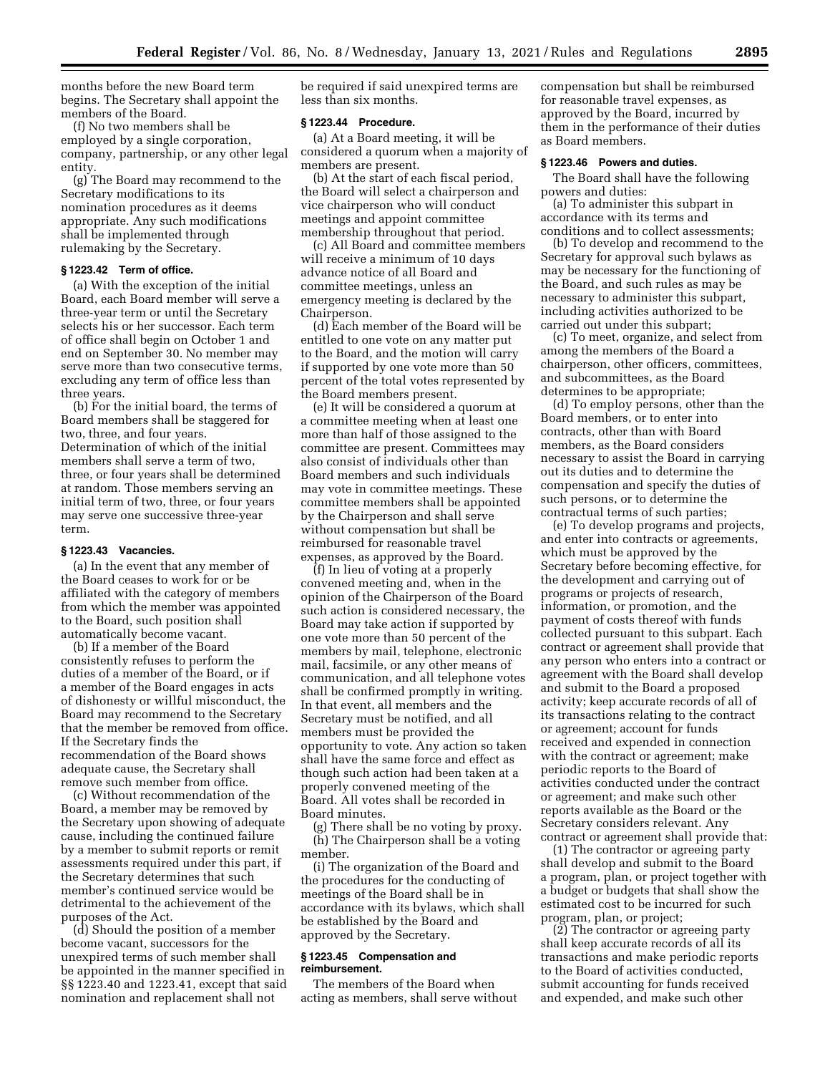months before the new Board term begins. The Secretary shall appoint the members of the Board.

(f) No two members shall be employed by a single corporation, company, partnership, or any other legal entity.

(g) The Board may recommend to the Secretary modifications to its nomination procedures as it deems appropriate. Any such modifications shall be implemented through rulemaking by the Secretary.

# **§ 1223.42 Term of office.**

(a) With the exception of the initial Board, each Board member will serve a three-year term or until the Secretary selects his or her successor. Each term of office shall begin on October 1 and end on September 30. No member may serve more than two consecutive terms, excluding any term of office less than three years.

(b) For the initial board, the terms of Board members shall be staggered for two, three, and four years. Determination of which of the initial members shall serve a term of two, three, or four years shall be determined at random. Those members serving an initial term of two, three, or four years may serve one successive three-year term.

#### **§ 1223.43 Vacancies.**

(a) In the event that any member of the Board ceases to work for or be affiliated with the category of members from which the member was appointed to the Board, such position shall automatically become vacant.

(b) If a member of the Board consistently refuses to perform the duties of a member of the Board, or if a member of the Board engages in acts of dishonesty or willful misconduct, the Board may recommend to the Secretary that the member be removed from office. If the Secretary finds the recommendation of the Board shows adequate cause, the Secretary shall remove such member from office.

(c) Without recommendation of the Board, a member may be removed by the Secretary upon showing of adequate cause, including the continued failure by a member to submit reports or remit assessments required under this part, if the Secretary determines that such member's continued service would be detrimental to the achievement of the purposes of the Act.

(d) Should the position of a member become vacant, successors for the unexpired terms of such member shall be appointed in the manner specified in §§ 1223.40 and 1223.41, except that said nomination and replacement shall not

be required if said unexpired terms are less than six months.

## **§ 1223.44 Procedure.**

(a) At a Board meeting, it will be considered a quorum when a majority of members are present.

(b) At the start of each fiscal period, the Board will select a chairperson and vice chairperson who will conduct meetings and appoint committee membership throughout that period.

(c) All Board and committee members will receive a minimum of 10 days advance notice of all Board and committee meetings, unless an emergency meeting is declared by the Chairperson.

(d) Each member of the Board will be entitled to one vote on any matter put to the Board, and the motion will carry if supported by one vote more than 50 percent of the total votes represented by the Board members present.

(e) It will be considered a quorum at a committee meeting when at least one more than half of those assigned to the committee are present. Committees may also consist of individuals other than Board members and such individuals may vote in committee meetings. These committee members shall be appointed by the Chairperson and shall serve without compensation but shall be reimbursed for reasonable travel expenses, as approved by the Board.

(f) In lieu of voting at a properly convened meeting and, when in the opinion of the Chairperson of the Board such action is considered necessary, the Board may take action if supported by one vote more than 50 percent of the members by mail, telephone, electronic mail, facsimile, or any other means of communication, and all telephone votes shall be confirmed promptly in writing. In that event, all members and the Secretary must be notified, and all members must be provided the opportunity to vote. Any action so taken shall have the same force and effect as though such action had been taken at a properly convened meeting of the Board. All votes shall be recorded in Board minutes.

(g) There shall be no voting by proxy. (h) The Chairperson shall be a voting member.

(i) The organization of the Board and the procedures for the conducting of meetings of the Board shall be in accordance with its bylaws, which shall be established by the Board and approved by the Secretary.

#### **§ 1223.45 Compensation and reimbursement.**

The members of the Board when acting as members, shall serve without compensation but shall be reimbursed for reasonable travel expenses, as approved by the Board, incurred by them in the performance of their duties as Board members.

#### **§ 1223.46 Powers and duties.**

The Board shall have the following powers and duties:

(a) To administer this subpart in accordance with its terms and conditions and to collect assessments;

(b) To develop and recommend to the Secretary for approval such bylaws as may be necessary for the functioning of the Board, and such rules as may be necessary to administer this subpart, including activities authorized to be carried out under this subpart;

(c) To meet, organize, and select from among the members of the Board a chairperson, other officers, committees, and subcommittees, as the Board determines to be appropriate;

(d) To employ persons, other than the Board members, or to enter into contracts, other than with Board members, as the Board considers necessary to assist the Board in carrying out its duties and to determine the compensation and specify the duties of such persons, or to determine the contractual terms of such parties;

(e) To develop programs and projects, and enter into contracts or agreements, which must be approved by the Secretary before becoming effective, for the development and carrying out of programs or projects of research, information, or promotion, and the payment of costs thereof with funds collected pursuant to this subpart. Each contract or agreement shall provide that any person who enters into a contract or agreement with the Board shall develop and submit to the Board a proposed activity; keep accurate records of all of its transactions relating to the contract or agreement; account for funds received and expended in connection with the contract or agreement; make periodic reports to the Board of activities conducted under the contract or agreement; and make such other reports available as the Board or the Secretary considers relevant. Any contract or agreement shall provide that:

(1) The contractor or agreeing party shall develop and submit to the Board a program, plan, or project together with a budget or budgets that shall show the estimated cost to be incurred for such program, plan, or project;

(2) The contractor or agreeing party shall keep accurate records of all its transactions and make periodic reports to the Board of activities conducted, submit accounting for funds received and expended, and make such other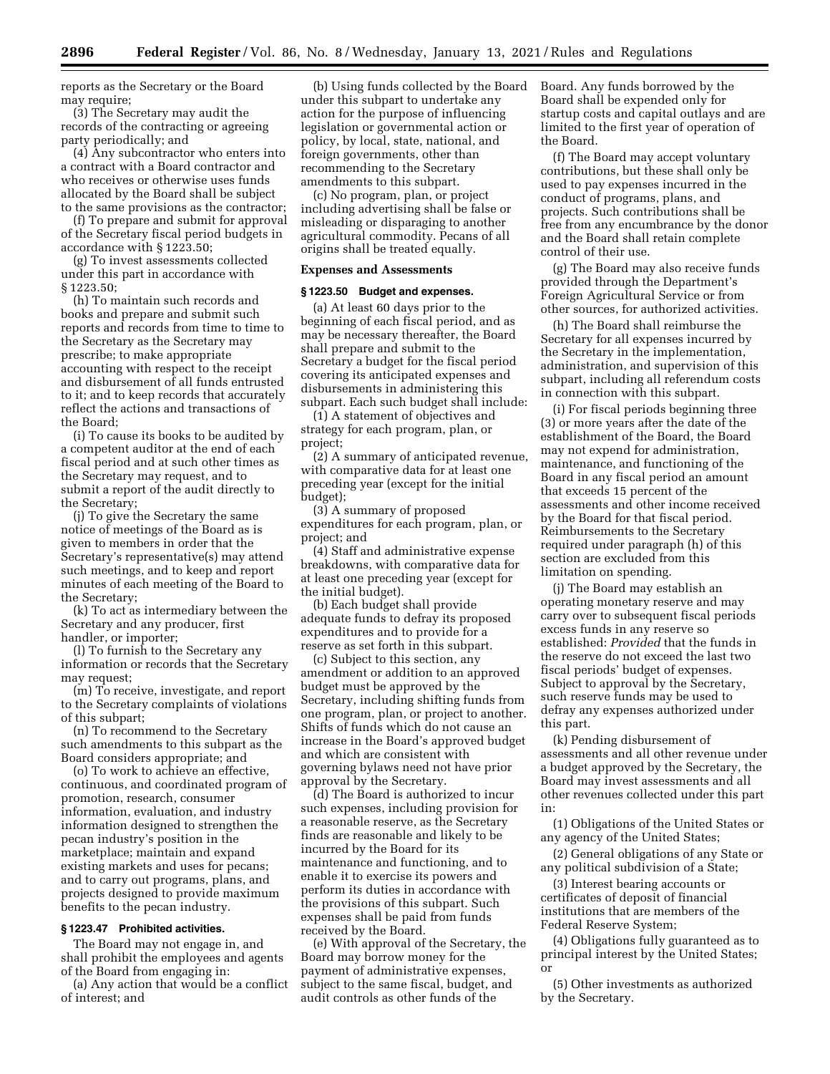reports as the Secretary or the Board may require;

(3) The Secretary may audit the records of the contracting or agreeing party periodically; and

(4) Any subcontractor who enters into a contract with a Board contractor and who receives or otherwise uses funds allocated by the Board shall be subject to the same provisions as the contractor;

(f) To prepare and submit for approval of the Secretary fiscal period budgets in accordance with § 1223.50;

(g) To invest assessments collected under this part in accordance with § 1223.50;

(h) To maintain such records and books and prepare and submit such reports and records from time to time to the Secretary as the Secretary may prescribe; to make appropriate accounting with respect to the receipt and disbursement of all funds entrusted to it; and to keep records that accurately reflect the actions and transactions of the Board;

(i) To cause its books to be audited by a competent auditor at the end of each fiscal period and at such other times as the Secretary may request, and to submit a report of the audit directly to the Secretary;

(j) To give the Secretary the same notice of meetings of the Board as is given to members in order that the Secretary's representative(s) may attend such meetings, and to keep and report minutes of each meeting of the Board to the Secretary;

(k) To act as intermediary between the Secretary and any producer, first handler, or importer;

(l) To furnish to the Secretary any information or records that the Secretary may request;

(m) To receive, investigate, and report to the Secretary complaints of violations of this subpart;

(n) To recommend to the Secretary such amendments to this subpart as the Board considers appropriate; and

(o) To work to achieve an effective, continuous, and coordinated program of promotion, research, consumer information, evaluation, and industry information designed to strengthen the pecan industry's position in the marketplace; maintain and expand existing markets and uses for pecans; and to carry out programs, plans, and projects designed to provide maximum benefits to the pecan industry.

## **§ 1223.47 Prohibited activities.**

The Board may not engage in, and shall prohibit the employees and agents of the Board from engaging in:

(a) Any action that would be a conflict of interest; and

(b) Using funds collected by the Board under this subpart to undertake any action for the purpose of influencing legislation or governmental action or policy, by local, state, national, and foreign governments, other than recommending to the Secretary amendments to this subpart.

(c) No program, plan, or project including advertising shall be false or misleading or disparaging to another agricultural commodity. Pecans of all origins shall be treated equally.

## **Expenses and Assessments**

# **§ 1223.50 Budget and expenses.**

(a) At least 60 days prior to the beginning of each fiscal period, and as may be necessary thereafter, the Board shall prepare and submit to the Secretary a budget for the fiscal period covering its anticipated expenses and disbursements in administering this subpart. Each such budget shall include:

(1) A statement of objectives and strategy for each program, plan, or project;

(2) A summary of anticipated revenue, with comparative data for at least one preceding year (except for the initial budget);

(3) A summary of proposed expenditures for each program, plan, or project; and

(4) Staff and administrative expense breakdowns, with comparative data for at least one preceding year (except for the initial budget).

(b) Each budget shall provide adequate funds to defray its proposed expenditures and to provide for a reserve as set forth in this subpart.

(c) Subject to this section, any amendment or addition to an approved budget must be approved by the Secretary, including shifting funds from one program, plan, or project to another. Shifts of funds which do not cause an increase in the Board's approved budget and which are consistent with governing bylaws need not have prior approval by the Secretary.

(d) The Board is authorized to incur such expenses, including provision for a reasonable reserve, as the Secretary finds are reasonable and likely to be incurred by the Board for its maintenance and functioning, and to enable it to exercise its powers and perform its duties in accordance with the provisions of this subpart. Such expenses shall be paid from funds received by the Board.

(e) With approval of the Secretary, the Board may borrow money for the payment of administrative expenses, subject to the same fiscal, budget, and audit controls as other funds of the

Board. Any funds borrowed by the Board shall be expended only for startup costs and capital outlays and are limited to the first year of operation of the Board.

(f) The Board may accept voluntary contributions, but these shall only be used to pay expenses incurred in the conduct of programs, plans, and projects. Such contributions shall be free from any encumbrance by the donor and the Board shall retain complete control of their use.

(g) The Board may also receive funds provided through the Department's Foreign Agricultural Service or from other sources, for authorized activities.

(h) The Board shall reimburse the Secretary for all expenses incurred by the Secretary in the implementation, administration, and supervision of this subpart, including all referendum costs in connection with this subpart.

(i) For fiscal periods beginning three (3) or more years after the date of the establishment of the Board, the Board may not expend for administration, maintenance, and functioning of the Board in any fiscal period an amount that exceeds 15 percent of the assessments and other income received by the Board for that fiscal period. Reimbursements to the Secretary required under paragraph (h) of this section are excluded from this limitation on spending.

(j) The Board may establish an operating monetary reserve and may carry over to subsequent fiscal periods excess funds in any reserve so established: *Provided* that the funds in the reserve do not exceed the last two fiscal periods' budget of expenses. Subject to approval by the Secretary, such reserve funds may be used to defray any expenses authorized under this part.

(k) Pending disbursement of assessments and all other revenue under a budget approved by the Secretary, the Board may invest assessments and all other revenues collected under this part in:

(1) Obligations of the United States or any agency of the United States;

(2) General obligations of any State or any political subdivision of a State;

(3) Interest bearing accounts or certificates of deposit of financial institutions that are members of the Federal Reserve System;

(4) Obligations fully guaranteed as to principal interest by the United States; or

(5) Other investments as authorized by the Secretary.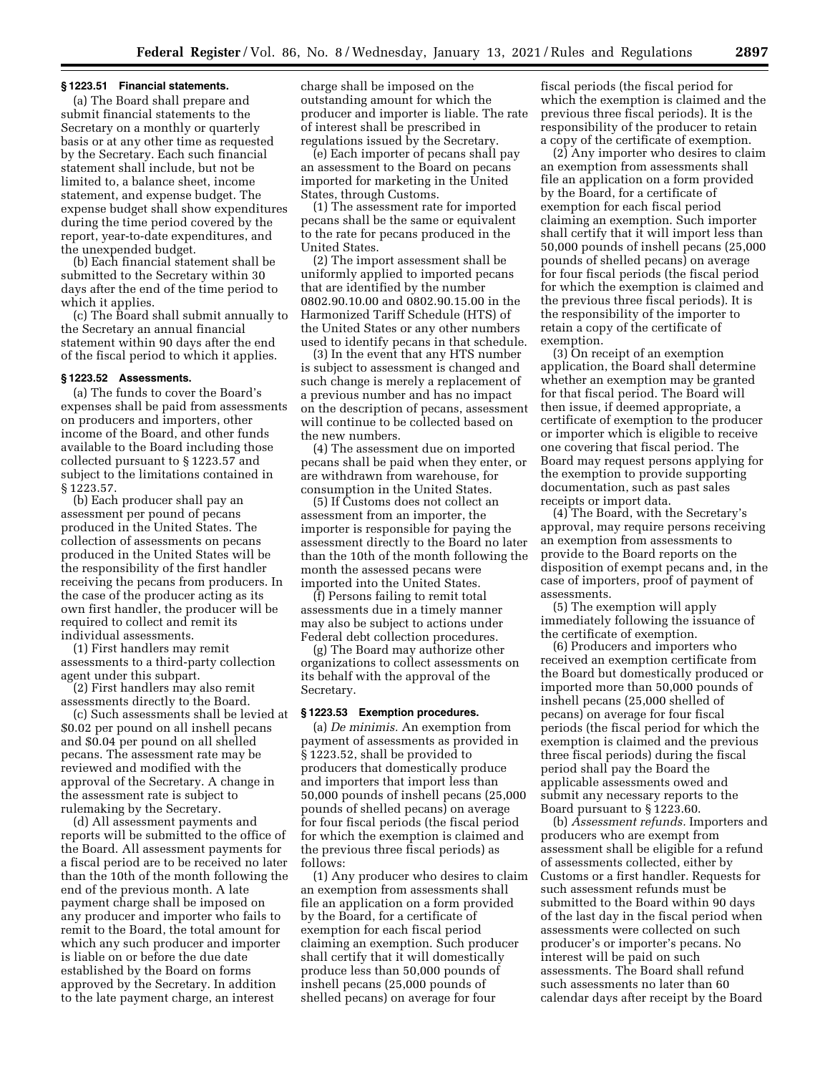#### **§ 1223.51 Financial statements.**

(a) The Board shall prepare and submit financial statements to the Secretary on a monthly or quarterly basis or at any other time as requested by the Secretary. Each such financial statement shall include, but not be limited to, a balance sheet, income statement, and expense budget. The expense budget shall show expenditures during the time period covered by the report, year-to-date expenditures, and the unexpended budget.

(b) Each financial statement shall be submitted to the Secretary within 30 days after the end of the time period to which it applies.

(c) The Board shall submit annually to the Secretary an annual financial statement within 90 days after the end of the fiscal period to which it applies.

# **§ 1223.52 Assessments.**

(a) The funds to cover the Board's expenses shall be paid from assessments on producers and importers, other income of the Board, and other funds available to the Board including those collected pursuant to § 1223.57 and subject to the limitations contained in § 1223.57.

(b) Each producer shall pay an assessment per pound of pecans produced in the United States. The collection of assessments on pecans produced in the United States will be the responsibility of the first handler receiving the pecans from producers. In the case of the producer acting as its own first handler, the producer will be required to collect and remit its individual assessments.

(1) First handlers may remit assessments to a third-party collection agent under this subpart.

(2) First handlers may also remit assessments directly to the Board.

(c) Such assessments shall be levied at \$0.02 per pound on all inshell pecans and \$0.04 per pound on all shelled pecans. The assessment rate may be reviewed and modified with the approval of the Secretary. A change in the assessment rate is subject to rulemaking by the Secretary.

(d) All assessment payments and reports will be submitted to the office of the Board. All assessment payments for a fiscal period are to be received no later than the 10th of the month following the end of the previous month. A late payment charge shall be imposed on any producer and importer who fails to remit to the Board, the total amount for which any such producer and importer is liable on or before the due date established by the Board on forms approved by the Secretary. In addition to the late payment charge, an interest

charge shall be imposed on the outstanding amount for which the producer and importer is liable. The rate of interest shall be prescribed in regulations issued by the Secretary.

(e) Each importer of pecans shall pay an assessment to the Board on pecans imported for marketing in the United States, through Customs.

(1) The assessment rate for imported pecans shall be the same or equivalent to the rate for pecans produced in the United States.

(2) The import assessment shall be uniformly applied to imported pecans that are identified by the number 0802.90.10.00 and 0802.90.15.00 in the Harmonized Tariff Schedule (HTS) of the United States or any other numbers used to identify pecans in that schedule.

(3) In the event that any HTS number is subject to assessment is changed and such change is merely a replacement of a previous number and has no impact on the description of pecans, assessment will continue to be collected based on the new numbers.

(4) The assessment due on imported pecans shall be paid when they enter, or are withdrawn from warehouse, for consumption in the United States.

(5) If Customs does not collect an assessment from an importer, the importer is responsible for paying the assessment directly to the Board no later than the 10th of the month following the month the assessed pecans were imported into the United States.

(f) Persons failing to remit total assessments due in a timely manner may also be subject to actions under Federal debt collection procedures.

(g) The Board may authorize other organizations to collect assessments on its behalf with the approval of the Secretary.

#### **§ 1223.53 Exemption procedures.**

(a) *De minimis.* An exemption from payment of assessments as provided in § 1223.52, shall be provided to producers that domestically produce and importers that import less than 50,000 pounds of inshell pecans (25,000 pounds of shelled pecans) on average for four fiscal periods (the fiscal period for which the exemption is claimed and the previous three fiscal periods) as follows:

(1) Any producer who desires to claim an exemption from assessments shall file an application on a form provided by the Board, for a certificate of exemption for each fiscal period claiming an exemption. Such producer shall certify that it will domestically produce less than 50,000 pounds of inshell pecans (25,000 pounds of shelled pecans) on average for four

fiscal periods (the fiscal period for which the exemption is claimed and the previous three fiscal periods). It is the responsibility of the producer to retain a copy of the certificate of exemption.

(2) Any importer who desires to claim an exemption from assessments shall file an application on a form provided by the Board, for a certificate of exemption for each fiscal period claiming an exemption. Such importer shall certify that it will import less than 50,000 pounds of inshell pecans (25,000 pounds of shelled pecans) on average for four fiscal periods (the fiscal period for which the exemption is claimed and the previous three fiscal periods). It is the responsibility of the importer to retain a copy of the certificate of exemption.

(3) On receipt of an exemption application, the Board shall determine whether an exemption may be granted for that fiscal period. The Board will then issue, if deemed appropriate, a certificate of exemption to the producer or importer which is eligible to receive one covering that fiscal period. The Board may request persons applying for the exemption to provide supporting documentation, such as past sales receipts or import data.

(4) The Board, with the Secretary's approval, may require persons receiving an exemption from assessments to provide to the Board reports on the disposition of exempt pecans and, in the case of importers, proof of payment of assessments.

(5) The exemption will apply immediately following the issuance of the certificate of exemption.

(6) Producers and importers who received an exemption certificate from the Board but domestically produced or imported more than 50,000 pounds of inshell pecans (25,000 shelled of pecans) on average for four fiscal periods (the fiscal period for which the exemption is claimed and the previous three fiscal periods) during the fiscal period shall pay the Board the applicable assessments owed and submit any necessary reports to the Board pursuant to § 1223.60.

(b) *Assessment refunds.* Importers and producers who are exempt from assessment shall be eligible for a refund of assessments collected, either by Customs or a first handler. Requests for such assessment refunds must be submitted to the Board within 90 days of the last day in the fiscal period when assessments were collected on such producer's or importer's pecans. No interest will be paid on such assessments. The Board shall refund such assessments no later than 60 calendar days after receipt by the Board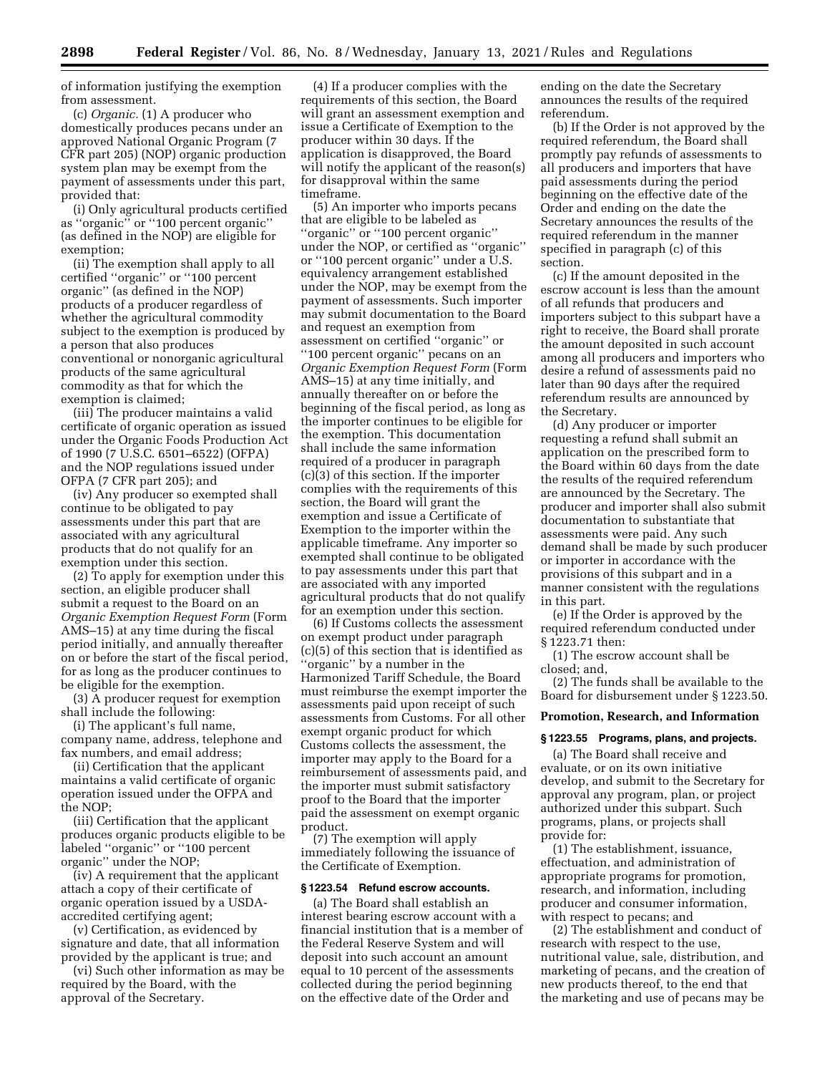of information justifying the exemption from assessment.

(c) *Organic.* (1) A producer who domestically produces pecans under an approved National Organic Program (7 CFR part 205) (NOP) organic production system plan may be exempt from the payment of assessments under this part, provided that:

(i) Only agricultural products certified as ''organic'' or ''100 percent organic'' (as defined in the NOP) are eligible for exemption;

(ii) The exemption shall apply to all certified ''organic'' or ''100 percent organic'' (as defined in the NOP) products of a producer regardless of whether the agricultural commodity subject to the exemption is produced by a person that also produces conventional or nonorganic agricultural products of the same agricultural commodity as that for which the exemption is claimed;

(iii) The producer maintains a valid certificate of organic operation as issued under the Organic Foods Production Act of 1990 (7 U.S.C. 6501–6522) (OFPA) and the NOP regulations issued under OFPA (7 CFR part 205); and

(iv) Any producer so exempted shall continue to be obligated to pay assessments under this part that are associated with any agricultural products that do not qualify for an exemption under this section.

(2) To apply for exemption under this section, an eligible producer shall submit a request to the Board on an *Organic Exemption Request Form* (Form AMS–15) at any time during the fiscal period initially, and annually thereafter on or before the start of the fiscal period, for as long as the producer continues to be eligible for the exemption.

(3) A producer request for exemption shall include the following:

(i) The applicant's full name, company name, address, telephone and fax numbers, and email address;

(ii) Certification that the applicant maintains a valid certificate of organic operation issued under the OFPA and the NOP;

(iii) Certification that the applicant produces organic products eligible to be labeled ''organic'' or ''100 percent organic'' under the NOP;

(iv) A requirement that the applicant attach a copy of their certificate of organic operation issued by a USDAaccredited certifying agent;

(v) Certification, as evidenced by signature and date, that all information provided by the applicant is true; and

(vi) Such other information as may be required by the Board, with the approval of the Secretary.

(4) If a producer complies with the requirements of this section, the Board will grant an assessment exemption and issue a Certificate of Exemption to the producer within 30 days. If the application is disapproved, the Board will notify the applicant of the reason(s) for disapproval within the same timeframe.

(5) An importer who imports pecans that are eligible to be labeled as ''organic'' or ''100 percent organic'' under the NOP, or certified as ''organic'' or ''100 percent organic'' under a U.S. equivalency arrangement established under the NOP, may be exempt from the payment of assessments. Such importer may submit documentation to the Board and request an exemption from assessment on certified ''organic'' or ''100 percent organic'' pecans on an *Organic Exemption Request Form* (Form AMS–15) at any time initially, and annually thereafter on or before the beginning of the fiscal period, as long as the importer continues to be eligible for the exemption. This documentation shall include the same information required of a producer in paragraph (c)(3) of this section. If the importer complies with the requirements of this section, the Board will grant the exemption and issue a Certificate of Exemption to the importer within the applicable timeframe. Any importer so exempted shall continue to be obligated to pay assessments under this part that are associated with any imported agricultural products that do not qualify for an exemption under this section.

(6) If Customs collects the assessment on exempt product under paragraph (c)(5) of this section that is identified as ''organic'' by a number in the Harmonized Tariff Schedule, the Board must reimburse the exempt importer the assessments paid upon receipt of such assessments from Customs. For all other exempt organic product for which Customs collects the assessment, the importer may apply to the Board for a reimbursement of assessments paid, and the importer must submit satisfactory proof to the Board that the importer paid the assessment on exempt organic product.

(7) The exemption will apply immediately following the issuance of the Certificate of Exemption.

# **§ 1223.54 Refund escrow accounts.**

(a) The Board shall establish an interest bearing escrow account with a financial institution that is a member of the Federal Reserve System and will deposit into such account an amount equal to 10 percent of the assessments collected during the period beginning on the effective date of the Order and

ending on the date the Secretary announces the results of the required referendum.

(b) If the Order is not approved by the required referendum, the Board shall promptly pay refunds of assessments to all producers and importers that have paid assessments during the period beginning on the effective date of the Order and ending on the date the Secretary announces the results of the required referendum in the manner specified in paragraph (c) of this section.

(c) If the amount deposited in the escrow account is less than the amount of all refunds that producers and importers subject to this subpart have a right to receive, the Board shall prorate the amount deposited in such account among all producers and importers who desire a refund of assessments paid no later than 90 days after the required referendum results are announced by the Secretary.

(d) Any producer or importer requesting a refund shall submit an application on the prescribed form to the Board within 60 days from the date the results of the required referendum are announced by the Secretary. The producer and importer shall also submit documentation to substantiate that assessments were paid. Any such demand shall be made by such producer or importer in accordance with the provisions of this subpart and in a manner consistent with the regulations in this part.

(e) If the Order is approved by the required referendum conducted under § 1223.71 then:

(1) The escrow account shall be closed; and,

(2) The funds shall be available to the Board for disbursement under § 1223.50.

# **Promotion, Research, and Information**

### **§ 1223.55 Programs, plans, and projects.**

(a) The Board shall receive and evaluate, or on its own initiative develop, and submit to the Secretary for approval any program, plan, or project authorized under this subpart. Such programs, plans, or projects shall provide for:

(1) The establishment, issuance, effectuation, and administration of appropriate programs for promotion, research, and information, including producer and consumer information, with respect to pecans; and

(2) The establishment and conduct of research with respect to the use, nutritional value, sale, distribution, and marketing of pecans, and the creation of new products thereof, to the end that the marketing and use of pecans may be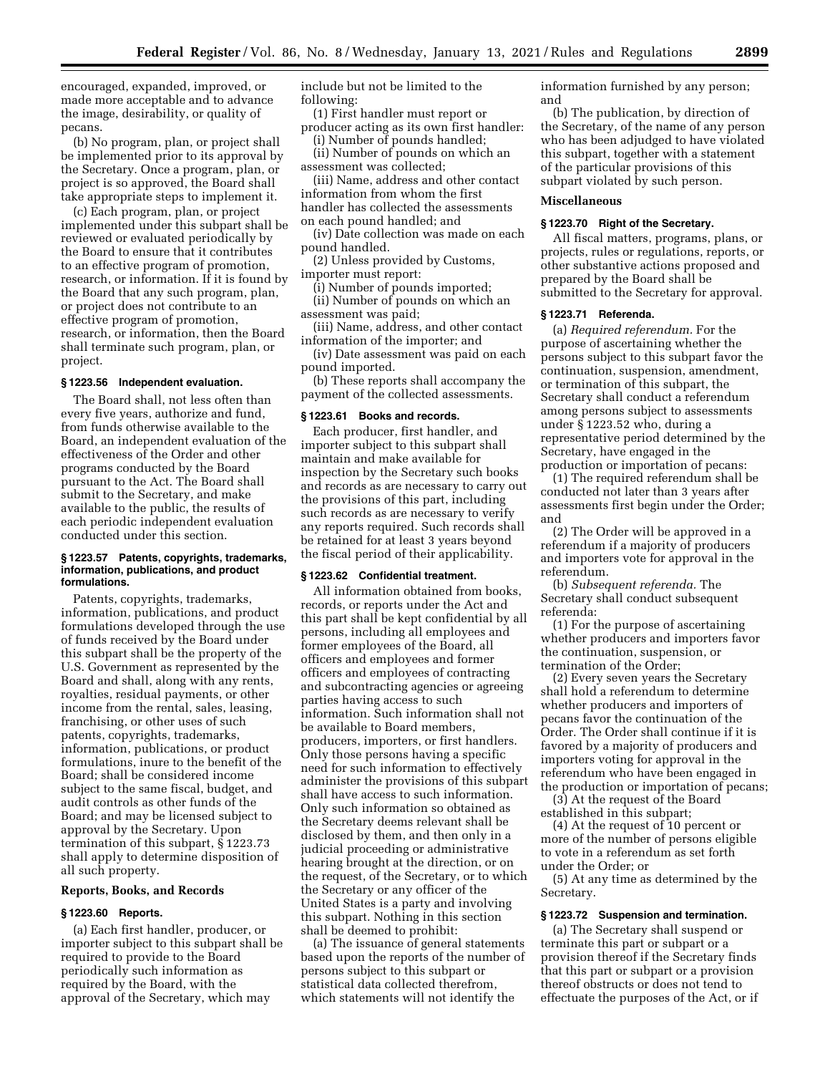encouraged, expanded, improved, or made more acceptable and to advance the image, desirability, or quality of pecans.

(b) No program, plan, or project shall be implemented prior to its approval by the Secretary. Once a program, plan, or project is so approved, the Board shall take appropriate steps to implement it.

(c) Each program, plan, or project implemented under this subpart shall be reviewed or evaluated periodically by the Board to ensure that it contributes to an effective program of promotion, research, or information. If it is found by the Board that any such program, plan, or project does not contribute to an effective program of promotion, research, or information, then the Board shall terminate such program, plan, or project.

#### **§ 1223.56 Independent evaluation.**

The Board shall, not less often than every five years, authorize and fund, from funds otherwise available to the Board, an independent evaluation of the effectiveness of the Order and other programs conducted by the Board pursuant to the Act. The Board shall submit to the Secretary, and make available to the public, the results of each periodic independent evaluation conducted under this section.

#### **§ 1223.57 Patents, copyrights, trademarks, information, publications, and product formulations.**

Patents, copyrights, trademarks, information, publications, and product formulations developed through the use of funds received by the Board under this subpart shall be the property of the U.S. Government as represented by the Board and shall, along with any rents, royalties, residual payments, or other income from the rental, sales, leasing, franchising, or other uses of such patents, copyrights, trademarks, information, publications, or product formulations, inure to the benefit of the Board; shall be considered income subject to the same fiscal, budget, and audit controls as other funds of the Board; and may be licensed subject to approval by the Secretary. Upon termination of this subpart, § 1223.73 shall apply to determine disposition of all such property.

# **Reports, Books, and Records**

## **§ 1223.60 Reports.**

(a) Each first handler, producer, or importer subject to this subpart shall be required to provide to the Board periodically such information as required by the Board, with the approval of the Secretary, which may

include but not be limited to the following:

(1) First handler must report or producer acting as its own first handler:

(i) Number of pounds handled; (ii) Number of pounds on which an

assessment was collected; (iii) Name, address and other contact information from whom the first

handler has collected the assessments on each pound handled; and

(iv) Date collection was made on each pound handled.

(2) Unless provided by Customs, importer must report:

(i) Number of pounds imported; (ii) Number of pounds on which an

assessment was paid; (iii) Name, address, and other contact

information of the importer; and (iv) Date assessment was paid on each pound imported.

(b) These reports shall accompany the payment of the collected assessments.

#### **§ 1223.61 Books and records.**

Each producer, first handler, and importer subject to this subpart shall maintain and make available for inspection by the Secretary such books and records as are necessary to carry out the provisions of this part, including such records as are necessary to verify any reports required. Such records shall be retained for at least 3 years beyond the fiscal period of their applicability.

## **§ 1223.62 Confidential treatment.**

All information obtained from books, records, or reports under the Act and this part shall be kept confidential by all persons, including all employees and former employees of the Board, all officers and employees and former officers and employees of contracting and subcontracting agencies or agreeing parties having access to such information. Such information shall not be available to Board members, producers, importers, or first handlers. Only those persons having a specific need for such information to effectively administer the provisions of this subpart shall have access to such information. Only such information so obtained as the Secretary deems relevant shall be disclosed by them, and then only in a judicial proceeding or administrative hearing brought at the direction, or on the request, of the Secretary, or to which the Secretary or any officer of the United States is a party and involving this subpart. Nothing in this section shall be deemed to prohibit:

(a) The issuance of general statements based upon the reports of the number of persons subject to this subpart or statistical data collected therefrom, which statements will not identify the

information furnished by any person; and

(b) The publication, by direction of the Secretary, of the name of any person who has been adjudged to have violated this subpart, together with a statement of the particular provisions of this subpart violated by such person.

## **Miscellaneous**

#### **§ 1223.70 Right of the Secretary.**

All fiscal matters, programs, plans, or projects, rules or regulations, reports, or other substantive actions proposed and prepared by the Board shall be submitted to the Secretary for approval.

#### **§ 1223.71 Referenda.**

(a) *Required referendum.* For the purpose of ascertaining whether the persons subject to this subpart favor the continuation, suspension, amendment, or termination of this subpart, the Secretary shall conduct a referendum among persons subject to assessments under § 1223.52 who, during a representative period determined by the Secretary, have engaged in the production or importation of pecans:

(1) The required referendum shall be conducted not later than 3 years after assessments first begin under the Order; and

(2) The Order will be approved in a referendum if a majority of producers and importers vote for approval in the referendum.

(b) *Subsequent referenda.* The Secretary shall conduct subsequent referenda:

(1) For the purpose of ascertaining whether producers and importers favor the continuation, suspension, or termination of the Order;

(2) Every seven years the Secretary shall hold a referendum to determine whether producers and importers of pecans favor the continuation of the Order. The Order shall continue if it is favored by a majority of producers and importers voting for approval in the referendum who have been engaged in the production or importation of pecans;

(3) At the request of the Board established in this subpart;

(4) At the request of 10 percent or more of the number of persons eligible to vote in a referendum as set forth under the Order; or

(5) At any time as determined by the Secretary.

#### **§ 1223.72 Suspension and termination.**

(a) The Secretary shall suspend or terminate this part or subpart or a provision thereof if the Secretary finds that this part or subpart or a provision thereof obstructs or does not tend to effectuate the purposes of the Act, or if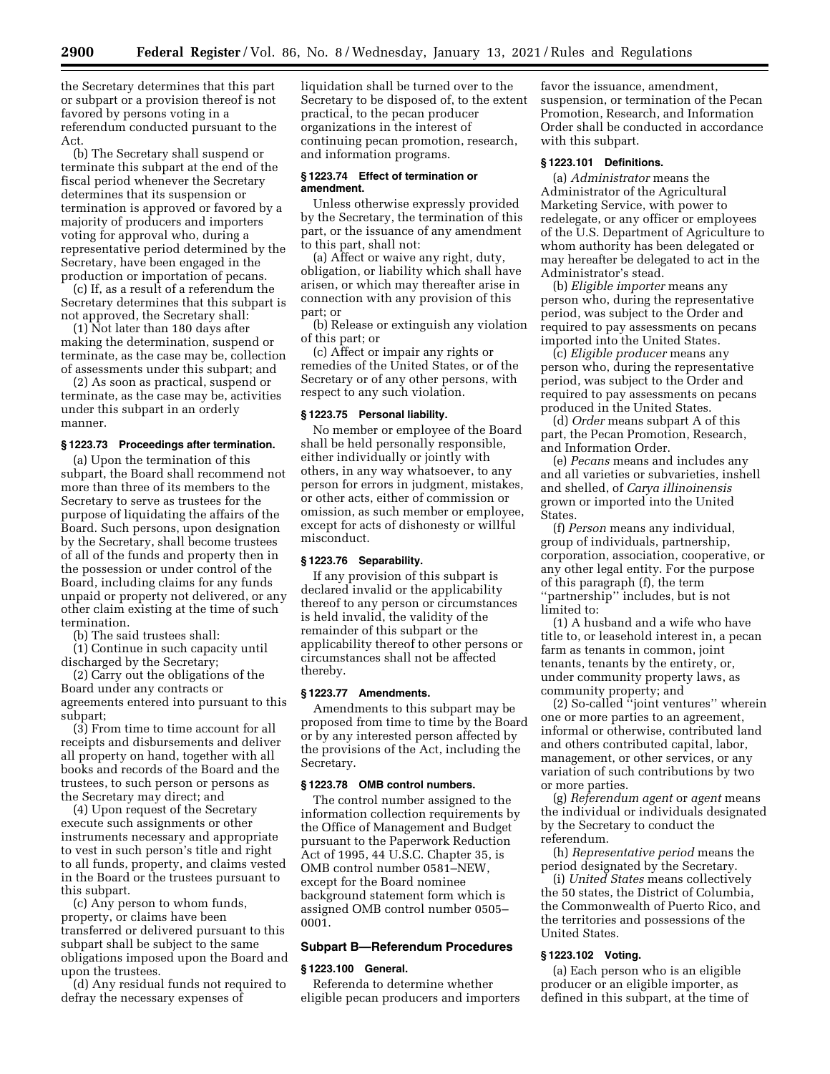the Secretary determines that this part or subpart or a provision thereof is not favored by persons voting in a referendum conducted pursuant to the Act.

(b) The Secretary shall suspend or terminate this subpart at the end of the fiscal period whenever the Secretary determines that its suspension or termination is approved or favored by a majority of producers and importers voting for approval who, during a representative period determined by the Secretary, have been engaged in the production or importation of pecans.

(c) If, as a result of a referendum the Secretary determines that this subpart is not approved, the Secretary shall:

(1) Not later than 180 days after making the determination, suspend or terminate, as the case may be, collection of assessments under this subpart; and

(2) As soon as practical, suspend or terminate, as the case may be, activities under this subpart in an orderly manner.

# **§ 1223.73 Proceedings after termination.**

(a) Upon the termination of this subpart, the Board shall recommend not more than three of its members to the Secretary to serve as trustees for the purpose of liquidating the affairs of the Board. Such persons, upon designation by the Secretary, shall become trustees of all of the funds and property then in the possession or under control of the Board, including claims for any funds unpaid or property not delivered, or any other claim existing at the time of such termination.

(b) The said trustees shall:

(1) Continue in such capacity until discharged by the Secretary;

(2) Carry out the obligations of the Board under any contracts or agreements entered into pursuant to this subpart;

(3) From time to time account for all receipts and disbursements and deliver all property on hand, together with all books and records of the Board and the trustees, to such person or persons as the Secretary may direct; and

(4) Upon request of the Secretary execute such assignments or other instruments necessary and appropriate to vest in such person's title and right to all funds, property, and claims vested in the Board or the trustees pursuant to this subpart.

(c) Any person to whom funds, property, or claims have been transferred or delivered pursuant to this subpart shall be subject to the same obligations imposed upon the Board and upon the trustees.

(d) Any residual funds not required to defray the necessary expenses of

liquidation shall be turned over to the Secretary to be disposed of, to the extent practical, to the pecan producer organizations in the interest of continuing pecan promotion, research, and information programs.

#### **§ 1223.74 Effect of termination or amendment.**

Unless otherwise expressly provided by the Secretary, the termination of this part, or the issuance of any amendment to this part, shall not:

(a) Affect or waive any right, duty, obligation, or liability which shall have arisen, or which may thereafter arise in connection with any provision of this part; or

(b) Release or extinguish any violation of this part; or

(c) Affect or impair any rights or remedies of the United States, or of the Secretary or of any other persons, with respect to any such violation.

#### **§ 1223.75 Personal liability.**

No member or employee of the Board shall be held personally responsible, either individually or jointly with others, in any way whatsoever, to any person for errors in judgment, mistakes, or other acts, either of commission or omission, as such member or employee, except for acts of dishonesty or willful misconduct.

#### **§ 1223.76 Separability.**

If any provision of this subpart is declared invalid or the applicability thereof to any person or circumstances is held invalid, the validity of the remainder of this subpart or the applicability thereof to other persons or circumstances shall not be affected thereby.

#### **§ 1223.77 Amendments.**

Amendments to this subpart may be proposed from time to time by the Board or by any interested person affected by the provisions of the Act, including the Secretary.

# **§ 1223.78 OMB control numbers.**

The control number assigned to the information collection requirements by the Office of Management and Budget pursuant to the Paperwork Reduction Act of 1995, 44 U.S.C. Chapter 35, is OMB control number 0581–NEW, except for the Board nominee background statement form which is assigned OMB control number 0505– 0001.

#### **Subpart B—Referendum Procedures**

#### **§ 1223.100 General.**

Referenda to determine whether eligible pecan producers and importers

favor the issuance, amendment, suspension, or termination of the Pecan Promotion, Research, and Information Order shall be conducted in accordance with this subpart.

# **§ 1223.101 Definitions.**

(a) *Administrator* means the Administrator of the Agricultural Marketing Service, with power to redelegate, or any officer or employees of the U.S. Department of Agriculture to whom authority has been delegated or may hereafter be delegated to act in the Administrator's stead.

(b) *Eligible importer* means any person who, during the representative period, was subject to the Order and required to pay assessments on pecans imported into the United States.

(c) *Eligible producer* means any person who, during the representative period, was subject to the Order and required to pay assessments on pecans produced in the United States.

(d) *Order* means subpart A of this part, the Pecan Promotion, Research, and Information Order.

(e) *Pecans* means and includes any and all varieties or subvarieties, inshell and shelled, of *Carya illinoinensis*  grown or imported into the United States.

(f) *Person* means any individual, group of individuals, partnership, corporation, association, cooperative, or any other legal entity. For the purpose of this paragraph (f), the term ''partnership'' includes, but is not limited to:

(1) A husband and a wife who have title to, or leasehold interest in, a pecan farm as tenants in common, joint tenants, tenants by the entirety, or, under community property laws, as community property; and

(2) So-called ''joint ventures'' wherein one or more parties to an agreement, informal or otherwise, contributed land and others contributed capital, labor, management, or other services, or any variation of such contributions by two or more parties.

(g) *Referendum agent* or *agent* means the individual or individuals designated by the Secretary to conduct the referendum.

(h) *Representative period* means the period designated by the Secretary.

(i) *United States* means collectively the 50 states, the District of Columbia, the Commonwealth of Puerto Rico, and the territories and possessions of the United States.

# **§ 1223.102 Voting.**

(a) Each person who is an eligible producer or an eligible importer, as defined in this subpart, at the time of